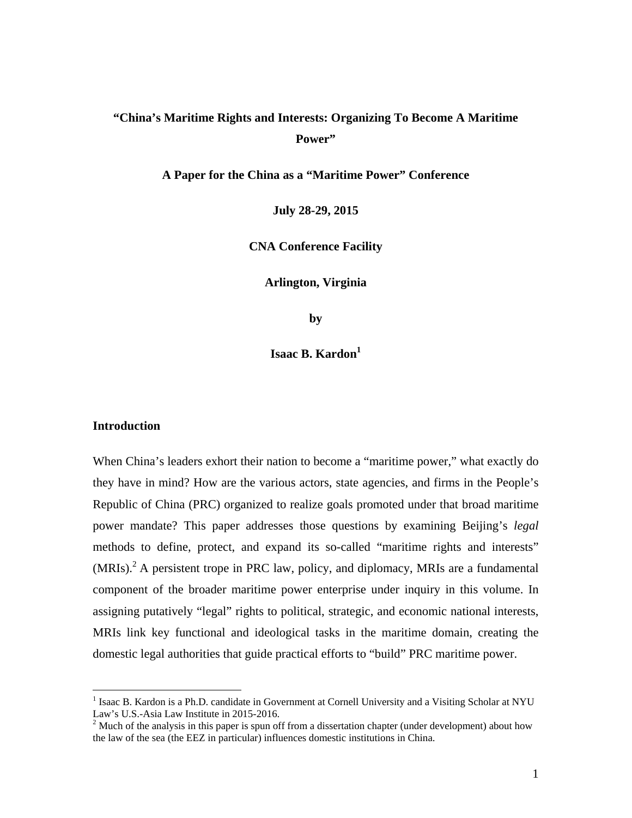# **"China's Maritime Rights and Interests: Organizing To Become A Maritime Power"**

**A Paper for the China as a "Maritime Power" Conference** 

**July 28-29, 2015** 

**CNA Conference Facility** 

**Arlington, Virginia** 

**by** 

**Isaac B. Kardon**<sup>1</sup>

## **Introduction**

 $\overline{a}$ 

When China's leaders exhort their nation to become a "maritime power," what exactly do they have in mind? How are the various actors, state agencies, and firms in the People's Republic of China (PRC) organized to realize goals promoted under that broad maritime power mandate? This paper addresses those questions by examining Beijing's *legal* methods to define, protect, and expand its so-called "maritime rights and interests"  $(MRIs)<sup>2</sup>$  A persistent trope in PRC law, policy, and diplomacy, MRIs are a fundamental component of the broader maritime power enterprise under inquiry in this volume. In assigning putatively "legal" rights to political, strategic, and economic national interests, MRIs link key functional and ideological tasks in the maritime domain, creating the domestic legal authorities that guide practical efforts to "build" PRC maritime power.

<sup>&</sup>lt;sup>1</sup> Isaac B. Kardon is a Ph.D. candidate in Government at Cornell University and a Visiting Scholar at NYU Law's U.S.-Asia Law Institute in 2015-2016.

 $2<sup>2</sup>$  Much of the analysis in this paper is spun off from a dissertation chapter (under development) about how the law of the sea (the EEZ in particular) influences domestic institutions in China.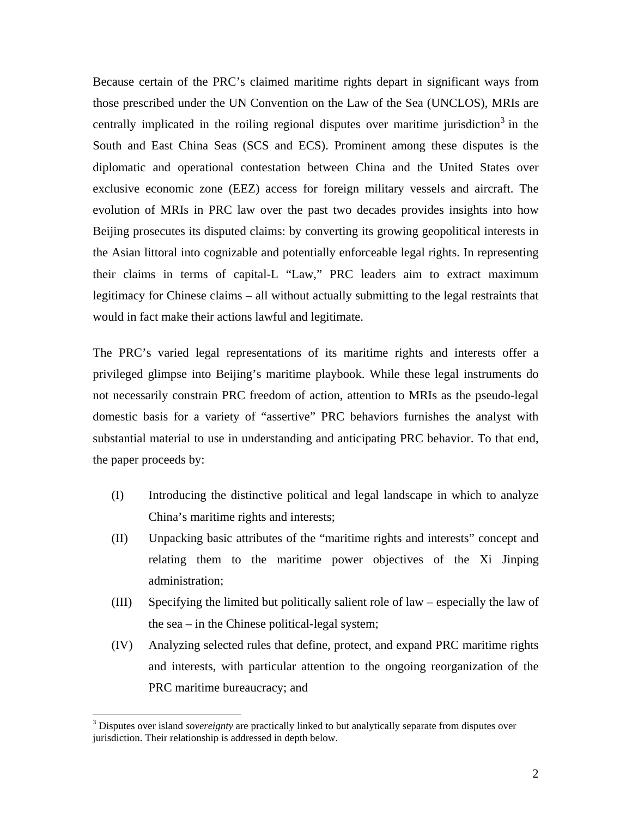Because certain of the PRC's claimed maritime rights depart in significant ways from those prescribed under the UN Convention on the Law of the Sea (UNCLOS), MRIs are centrally implicated in the roiling regional disputes over maritime jurisdiction<sup>3</sup> in the South and East China Seas (SCS and ECS). Prominent among these disputes is the diplomatic and operational contestation between China and the United States over exclusive economic zone (EEZ) access for foreign military vessels and aircraft. The evolution of MRIs in PRC law over the past two decades provides insights into how Beijing prosecutes its disputed claims: by converting its growing geopolitical interests in the Asian littoral into cognizable and potentially enforceable legal rights. In representing their claims in terms of capital-L "Law," PRC leaders aim to extract maximum legitimacy for Chinese claims – all without actually submitting to the legal restraints that would in fact make their actions lawful and legitimate.

The PRC's varied legal representations of its maritime rights and interests offer a privileged glimpse into Beijing's maritime playbook. While these legal instruments do not necessarily constrain PRC freedom of action, attention to MRIs as the pseudo-legal domestic basis for a variety of "assertive" PRC behaviors furnishes the analyst with substantial material to use in understanding and anticipating PRC behavior. To that end, the paper proceeds by:

- (I) Introducing the distinctive political and legal landscape in which to analyze China's maritime rights and interests;
- (II) Unpacking basic attributes of the "maritime rights and interests" concept and relating them to the maritime power objectives of the Xi Jinping administration;
- (III) Specifying the limited but politically salient role of law especially the law of the sea – in the Chinese political-legal system;
- (IV) Analyzing selected rules that define, protect, and expand PRC maritime rights and interests, with particular attention to the ongoing reorganization of the PRC maritime bureaucracy; and

<sup>&</sup>lt;sup>3</sup> Disputes over island *sovereignty* are practically linked to but analytically separate from disputes over jurisdiction. Their relationship is addressed in depth below.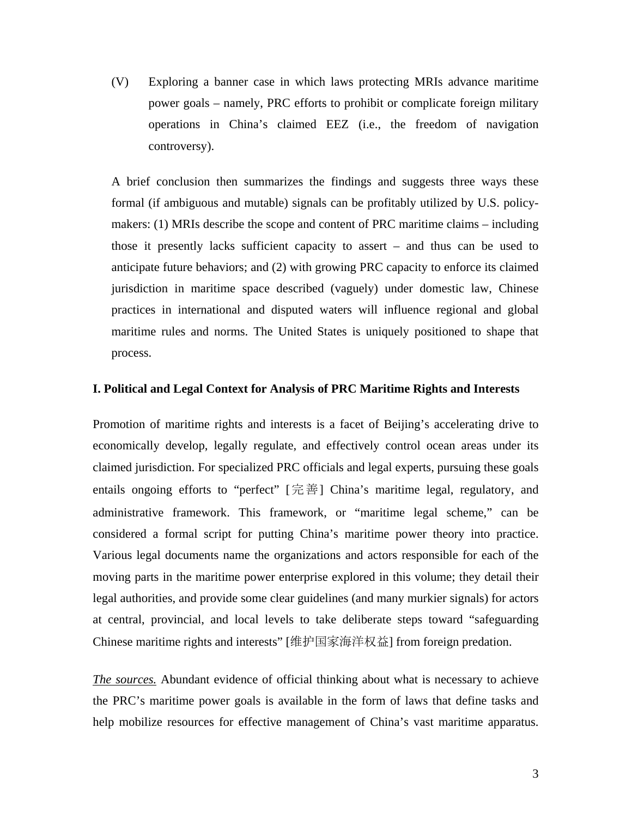(V) Exploring a banner case in which laws protecting MRIs advance maritime power goals – namely, PRC efforts to prohibit or complicate foreign military operations in China's claimed EEZ (i.e., the freedom of navigation controversy).

A brief conclusion then summarizes the findings and suggests three ways these formal (if ambiguous and mutable) signals can be profitably utilized by U.S. policymakers: (1) MRIs describe the scope and content of PRC maritime claims – including those it presently lacks sufficient capacity to assert – and thus can be used to anticipate future behaviors; and (2) with growing PRC capacity to enforce its claimed jurisdiction in maritime space described (vaguely) under domestic law, Chinese practices in international and disputed waters will influence regional and global maritime rules and norms. The United States is uniquely positioned to shape that process.

#### **I. Political and Legal Context for Analysis of PRC Maritime Rights and Interests**

Promotion of maritime rights and interests is a facet of Beijing's accelerating drive to economically develop, legally regulate, and effectively control ocean areas under its claimed jurisdiction. For specialized PRC officials and legal experts, pursuing these goals entails ongoing efforts to "perfect" [完善] China's maritime legal, regulatory, and administrative framework. This framework, or "maritime legal scheme," can be considered a formal script for putting China's maritime power theory into practice. Various legal documents name the organizations and actors responsible for each of the moving parts in the maritime power enterprise explored in this volume; they detail their legal authorities, and provide some clear guidelines (and many murkier signals) for actors at central, provincial, and local levels to take deliberate steps toward "safeguarding Chinese maritime rights and interests" [维护国家海洋权益] from foreign predation.

*The sources.* Abundant evidence of official thinking about what is necessary to achieve the PRC's maritime power goals is available in the form of laws that define tasks and help mobilize resources for effective management of China's vast maritime apparatus.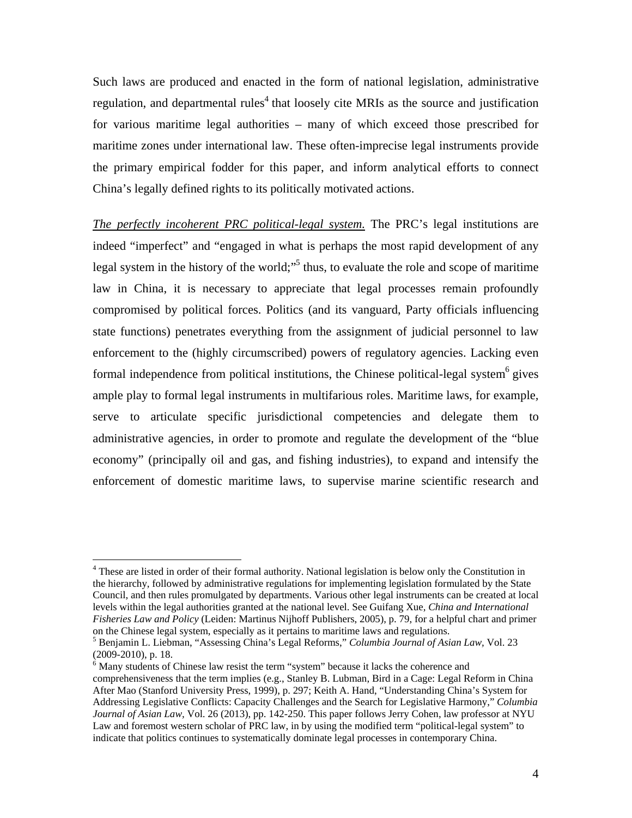Such laws are produced and enacted in the form of national legislation, administrative regulation, and departmental rules<sup>4</sup> that loosely cite MRIs as the source and justification for various maritime legal authorities – many of which exceed those prescribed for maritime zones under international law. These often-imprecise legal instruments provide the primary empirical fodder for this paper, and inform analytical efforts to connect China's legally defined rights to its politically motivated actions.

*The perfectly incoherent PRC political-legal system.* The PRC's legal institutions are indeed "imperfect" and "engaged in what is perhaps the most rapid development of any legal system in the history of the world;<sup>15</sup> thus, to evaluate the role and scope of maritime law in China, it is necessary to appreciate that legal processes remain profoundly compromised by political forces. Politics (and its vanguard, Party officials influencing state functions) penetrates everything from the assignment of judicial personnel to law enforcement to the (highly circumscribed) powers of regulatory agencies. Lacking even formal independence from political institutions, the Chinese political-legal system $6$  gives ample play to formal legal instruments in multifarious roles. Maritime laws, for example*,*  serve to articulate specific jurisdictional competencies and delegate them to administrative agencies, in order to promote and regulate the development of the "blue economy" (principally oil and gas, and fishing industries), to expand and intensify the enforcement of domestic maritime laws, to supervise marine scientific research and

1

<sup>&</sup>lt;sup>4</sup> These are listed in order of their formal authority. National legislation is below only the Constitution in the hierarchy, followed by administrative regulations for implementing legislation formulated by the State Council, and then rules promulgated by departments. Various other legal instruments can be created at local levels within the legal authorities granted at the national level. See Guifang Xue, *China and International Fisheries Law and Policy* (Leiden: Martinus Nijhoff Publishers, 2005), p. 79, for a helpful chart and primer on the Chinese legal system, especially as it pertains to maritime laws and regulations.

<sup>5</sup> Benjamin L. Liebman, "Assessing China's Legal Reforms," *Columbia Journal of Asian Law,* Vol. 23 (2009-2010), p. 18.

 $6$  Many students of Chinese law resist the term "system" because it lacks the coherence and comprehensiveness that the term implies (e.g., Stanley B. Lubman, Bird in a Cage: Legal Reform in China After Mao (Stanford University Press, 1999), p. 297; Keith A. Hand, "Understanding China's System for Addressing Legislative Conflicts: Capacity Challenges and the Search for Legislative Harmony," *Columbia Journal of Asian Law,* Vol. 26 (2013), pp. 142-250. This paper follows Jerry Cohen, law professor at NYU Law and foremost western scholar of PRC law, in by using the modified term "political-legal system" to indicate that politics continues to systematically dominate legal processes in contemporary China.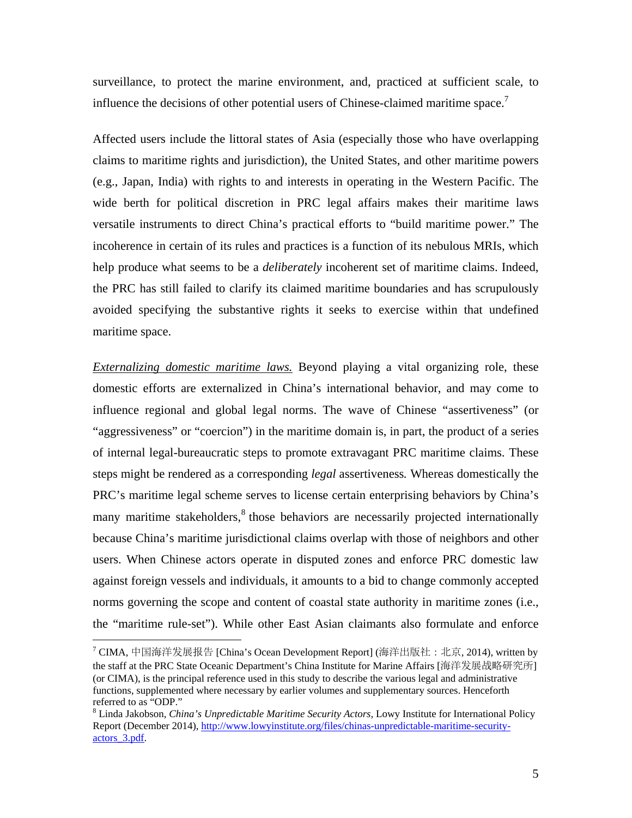surveillance, to protect the marine environment, and, practiced at sufficient scale, to influence the decisions of other potential users of Chinese-claimed maritime space.<sup>7</sup>

Affected users include the littoral states of Asia (especially those who have overlapping claims to maritime rights and jurisdiction), the United States, and other maritime powers (e.g., Japan, India) with rights to and interests in operating in the Western Pacific. The wide berth for political discretion in PRC legal affairs makes their maritime laws versatile instruments to direct China's practical efforts to "build maritime power." The incoherence in certain of its rules and practices is a function of its nebulous MRIs, which help produce what seems to be a *deliberately* incoherent set of maritime claims. Indeed, the PRC has still failed to clarify its claimed maritime boundaries and has scrupulously avoided specifying the substantive rights it seeks to exercise within that undefined maritime space.

*Externalizing domestic maritime laws.* Beyond playing a vital organizing role, these domestic efforts are externalized in China's international behavior, and may come to influence regional and global legal norms. The wave of Chinese "assertiveness" (or "aggressiveness" or "coercion") in the maritime domain is, in part, the product of a series of internal legal-bureaucratic steps to promote extravagant PRC maritime claims. These steps might be rendered as a corresponding *legal* assertiveness*.* Whereas domestically the PRC's maritime legal scheme serves to license certain enterprising behaviors by China's many maritime stakeholders,<sup>8</sup> those behaviors are necessarily projected internationally because China's maritime jurisdictional claims overlap with those of neighbors and other users. When Chinese actors operate in disputed zones and enforce PRC domestic law against foreign vessels and individuals, it amounts to a bid to change commonly accepted norms governing the scope and content of coastal state authority in maritime zones (i.e., the "maritime rule-set"). While other East Asian claimants also formulate and enforce

<sup>&</sup>lt;sup>7</sup> CIMA, 中国海洋发展报告 [China's Ocean Development Report] (海洋出版社: 北京, 2014), written by the staff at the PRC State Oceanic Department's China Institute for Marine Affairs [海洋发展战略研究所] (or CIMA), is the principal reference used in this study to describe the various legal and administrative functions, supplemented where necessary by earlier volumes and supplementary sources. Henceforth referred to as "ODP."

<sup>8</sup> Linda Jakobson, *China's Unpredictable Maritime Security Actors,* Lowy Institute for International Policy Report (December 2014), http://www.lowyinstitute.org/files/chinas-unpredictable-maritime-securityactors 3.pdf.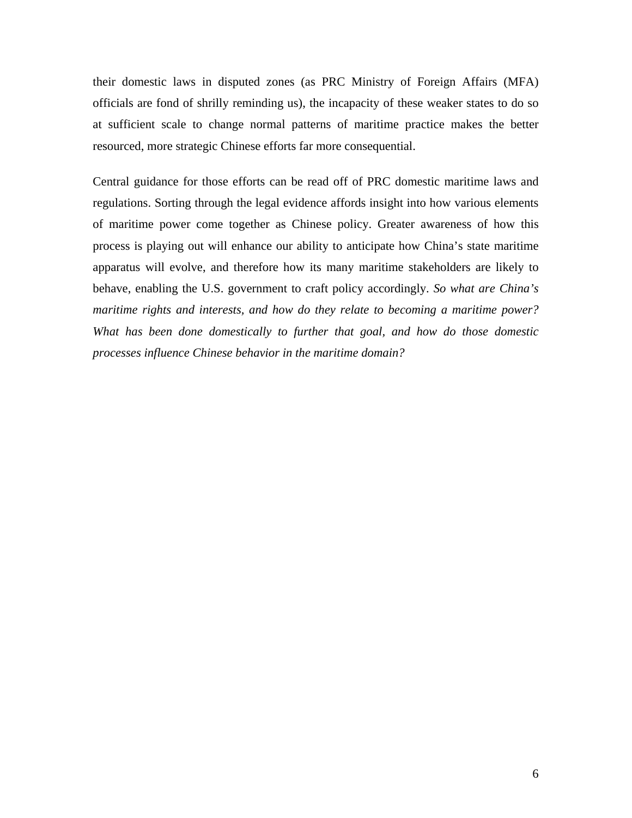their domestic laws in disputed zones (as PRC Ministry of Foreign Affairs (MFA) officials are fond of shrilly reminding us), the incapacity of these weaker states to do so at sufficient scale to change normal patterns of maritime practice makes the better resourced, more strategic Chinese efforts far more consequential.

Central guidance for those efforts can be read off of PRC domestic maritime laws and regulations. Sorting through the legal evidence affords insight into how various elements of maritime power come together as Chinese policy. Greater awareness of how this process is playing out will enhance our ability to anticipate how China's state maritime apparatus will evolve, and therefore how its many maritime stakeholders are likely to behave, enabling the U.S. government to craft policy accordingly. *So what are China's maritime rights and interests, and how do they relate to becoming a maritime power? What has been done domestically to further that goal, and how do those domestic processes influence Chinese behavior in the maritime domain?*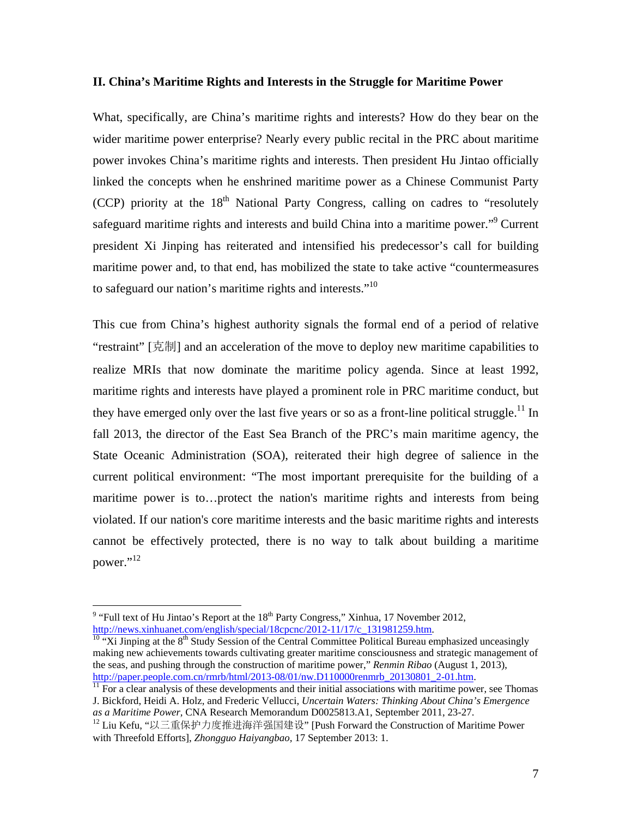#### **II. China's Maritime Rights and Interests in the Struggle for Maritime Power**

What, specifically, are China's maritime rights and interests? How do they bear on the wider maritime power enterprise? Nearly every public recital in the PRC about maritime power invokes China's maritime rights and interests. Then president Hu Jintao officially linked the concepts when he enshrined maritime power as a Chinese Communist Party  $(CCP)$  priority at the 18<sup>th</sup> National Party Congress, calling on cadres to "resolutely" safeguard maritime rights and interests and build China into a maritime power."<sup>9</sup> Current president Xi Jinping has reiterated and intensified his predecessor's call for building maritime power and, to that end, has mobilized the state to take active "countermeasures to safeguard our nation's maritime rights and interests."<sup>10</sup>

This cue from China's highest authority signals the formal end of a period of relative "restraint" [克制] and an acceleration of the move to deploy new maritime capabilities to realize MRIs that now dominate the maritime policy agenda. Since at least 1992, maritime rights and interests have played a prominent role in PRC maritime conduct, but they have emerged only over the last five years or so as a front-line political struggle.<sup>11</sup> In fall 2013, the director of the East Sea Branch of the PRC's main maritime agency, the State Oceanic Administration (SOA), reiterated their high degree of salience in the current political environment: "The most important prerequisite for the building of a maritime power is to…protect the nation's maritime rights and interests from being violated. If our nation's core maritime interests and the basic maritime rights and interests cannot be effectively protected, there is no way to talk about building a maritime power."<sup>12</sup>

<sup>&</sup>lt;sup>9</sup> "Full text of Hu Jintao's Report at the  $18<sup>th</sup>$  Party Congress," Xinhua, 17 November 2012, http://news.xinhuanet.com/english/special/18cpcnc/2012-11/17/c\_131981259.htm. 10 "Xi Jinping at the 8<sup>th</sup> Study Session of the Central Committee Political Bureau emphasized unceasingly

making new achievements towards cultivating greater maritime consciousness and strategic management of the seas, and pushing through the construction of maritime power," *Renmin Ribao* (August 1, 2013), http://paper.people.com.cn/rmrb/html/2013-08/01/nw.D110000renmrb 20130801 2-01.htm.

 $\frac{1}{11}$  For a clear analysis of these developments and their initial associations with maritime power, see Thomas J. Bickford, Heidi A. Holz, and Frederic Vellucci, *Uncertain Waters: Thinking About China's Emergence as a Maritime Power*, CNA Research Memorandum D0025813.A1, September 2011, 23-27.<br><sup>12</sup> Liu Kefu, "以三重保护力度推进海洋强国建设" [Push Forward the Construction of Maritime Power

with Threefold Efforts], *Zhongguo Haiyangbao,* 17 September 2013: 1.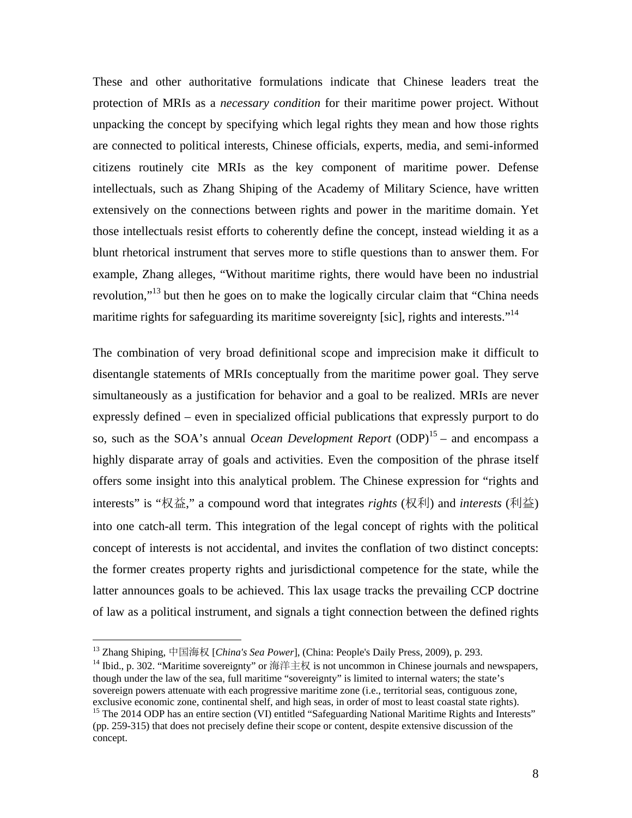These and other authoritative formulations indicate that Chinese leaders treat the protection of MRIs as a *necessary condition* for their maritime power project. Without unpacking the concept by specifying which legal rights they mean and how those rights are connected to political interests, Chinese officials, experts, media, and semi-informed citizens routinely cite MRIs as the key component of maritime power. Defense intellectuals, such as Zhang Shiping of the Academy of Military Science, have written extensively on the connections between rights and power in the maritime domain. Yet those intellectuals resist efforts to coherently define the concept, instead wielding it as a blunt rhetorical instrument that serves more to stifle questions than to answer them. For example, Zhang alleges, "Without maritime rights, there would have been no industrial revolution,"<sup>13</sup> but then he goes on to make the logically circular claim that "China needs" maritime rights for safeguarding its maritime sovereignty [sic], rights and interests."<sup>14</sup>

The combination of very broad definitional scope and imprecision make it difficult to disentangle statements of MRIs conceptually from the maritime power goal. They serve simultaneously as a justification for behavior and a goal to be realized. MRIs are never expressly defined – even in specialized official publications that expressly purport to do so, such as the SOA's annual *Ocean Development Report*  $(DDP)^{15}$  – and encompass a highly disparate array of goals and activities. Even the composition of the phrase itself offers some insight into this analytical problem. The Chinese expression for "rights and interests" is "权益," a compound word that integrates *rights* (权利) and *interests* (利益) into one catch-all term. This integration of the legal concept of rights with the political concept of interests is not accidental, and invites the conflation of two distinct concepts: the former creates property rights and jurisdictional competence for the state, while the latter announces goals to be achieved. This lax usage tracks the prevailing CCP doctrine of law as a political instrument, and signals a tight connection between the defined rights

<sup>&</sup>lt;sup>13</sup> Zhang Shiping, 中国海权 [*China's Sea Power*], (China: People's Daily Press, 2009), p. 293.<br><sup>14</sup> Ibid., p. 302. "Maritime sovereignty" or 海洋主权 is not uncommon in Chinese journals and newspapers, though under the law of the sea, full maritime "sovereignty" is limited to internal waters; the state's sovereign powers attenuate with each progressive maritime zone (i.e., territorial seas, contiguous zone, exclusive economic zone, continental shelf, and high seas, in order of most to least coastal state rights).

<sup>&</sup>lt;sup>15</sup> The 2014 ODP has an entire section (VI) entitled "Safeguarding National Maritime Rights and Interests" (pp. 259-315) that does not precisely define their scope or content, despite extensive discussion of the concept.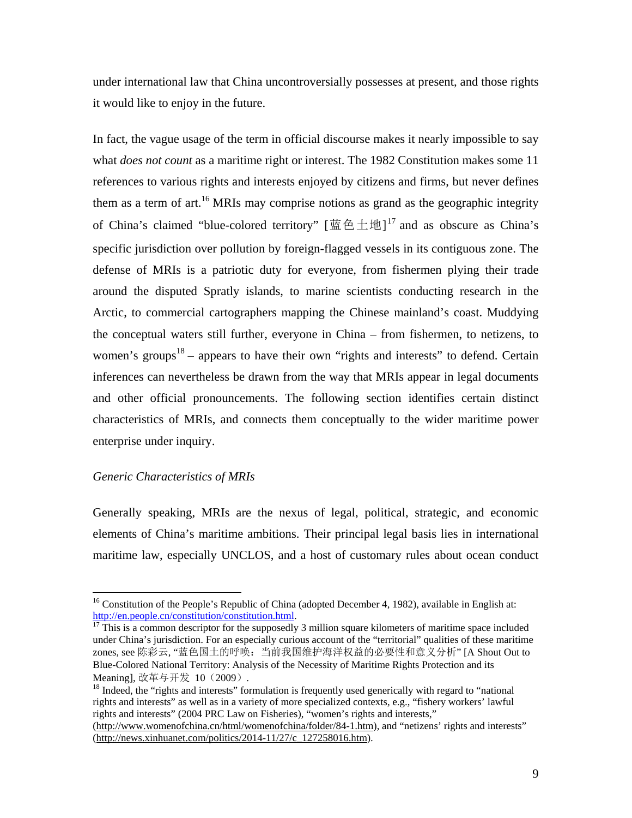under international law that China uncontroversially possesses at present, and those rights it would like to enjoy in the future.

In fact, the vague usage of the term in official discourse makes it nearly impossible to say what *does not count* as a maritime right or interest. The 1982 Constitution makes some 11 references to various rights and interests enjoyed by citizens and firms, but never defines them as a term of art.<sup>16</sup> MRIs may comprise notions as grand as the geographic integrity of China's claimed "blue-colored territory"  $[\mathbb{H} \oplus \pm \mathfrak{W}]^{17}$  and as obscure as China's specific jurisdiction over pollution by foreign-flagged vessels in its contiguous zone. The defense of MRIs is a patriotic duty for everyone, from fishermen plying their trade around the disputed Spratly islands, to marine scientists conducting research in the Arctic, to commercial cartographers mapping the Chinese mainland's coast. Muddying the conceptual waters still further, everyone in China – from fishermen, to netizens, to women's groups<sup>18</sup> – appears to have their own "rights and interests" to defend. Certain inferences can nevertheless be drawn from the way that MRIs appear in legal documents and other official pronouncements. The following section identifies certain distinct characteristics of MRIs, and connects them conceptually to the wider maritime power enterprise under inquiry.

## *Generic Characteristics of MRIs*

 $\overline{a}$ 

Generally speaking, MRIs are the nexus of legal, political, strategic, and economic elements of China's maritime ambitions. Their principal legal basis lies in international maritime law, especially UNCLOS, and a host of customary rules about ocean conduct

<sup>&</sup>lt;sup>16</sup> Constitution of the People's Republic of China (adopted December 4, 1982), available in English at: http://en.people.cn/constitution/constitution.html.<br><sup>17</sup> This is a common descriptor for the supposedly 3 million square kilometers of maritime space included

under China's jurisdiction. For an especially curious account of the "territorial" qualities of these maritime zones, see 陈彩云, "蓝色国土的呼唤:当前我国维护海洋权益的必要性和意义分析" [A Shout Out to Blue-Colored National Territory: Analysis of the Necessity of Maritime Rights Protection and its Meaning], 改革与开发 10 (2009).<br><sup>18</sup> Indeed, the "rights and interests" formulation is frequently used generically with regard to "national

rights and interests" as well as in a variety of more specialized contexts, e.g., "fishery workers' lawful rights and interests" (2004 PRC Law on Fisheries), "women's rights and interests,"

<sup>(</sup>http://www.womenofchina.cn/html/womenofchina/folder/84-1.htm), and "netizens' rights and interests" (http://news.xinhuanet.com/politics/2014-11/27/c\_127258016.htm).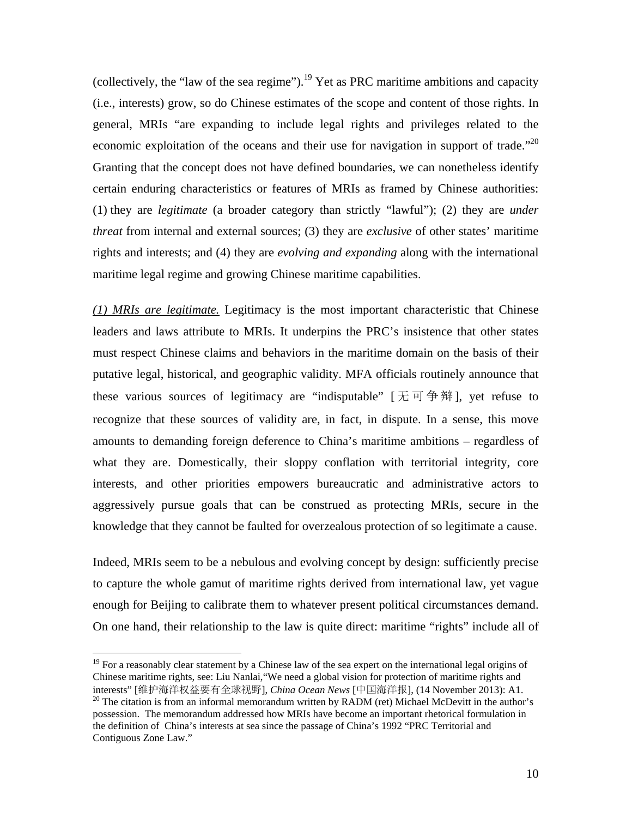(collectively, the "law of the sea regime").<sup>19</sup> Yet as PRC maritime ambitions and capacity (i.e., interests) grow, so do Chinese estimates of the scope and content of those rights. In general, MRIs "are expanding to include legal rights and privileges related to the economic exploitation of the oceans and their use for navigation in support of trade.<sup> $22$ </sup> Granting that the concept does not have defined boundaries, we can nonetheless identify certain enduring characteristics or features of MRIs as framed by Chinese authorities: (1) they are *legitimate* (a broader category than strictly "lawful"); (2) they are *under threat* from internal and external sources; (3) they are *exclusive* of other states' maritime rights and interests; and (4) they are *evolving and expanding* along with the international maritime legal regime and growing Chinese maritime capabilities.

*(1) MRIs are legitimate.* Legitimacy is the most important characteristic that Chinese leaders and laws attribute to MRIs. It underpins the PRC's insistence that other states must respect Chinese claims and behaviors in the maritime domain on the basis of their putative legal, historical, and geographic validity. MFA officials routinely announce that these various sources of legitimacy are "indisputable"  $[\n \pm \pi \oplus \frac{4}{3}$  |, yet refuse to recognize that these sources of validity are, in fact, in dispute. In a sense, this move amounts to demanding foreign deference to China's maritime ambitions – regardless of what they are. Domestically, their sloppy conflation with territorial integrity, core interests, and other priorities empowers bureaucratic and administrative actors to aggressively pursue goals that can be construed as protecting MRIs, secure in the knowledge that they cannot be faulted for overzealous protection of so legitimate a cause.

Indeed, MRIs seem to be a nebulous and evolving concept by design: sufficiently precise to capture the whole gamut of maritime rights derived from international law, yet vague enough for Beijing to calibrate them to whatever present political circumstances demand. On one hand, their relationship to the law is quite direct: maritime "rights" include all of

 $19$  For a reasonably clear statement by a Chinese law of the sea expert on the international legal origins of Chinese maritime rights, see: Liu Nanlai,"We need a global vision for protection of maritime rights and interests" [维护海洋权益要有全球视野], *China Ocean News* [中国海洋报], (14 November 2013): A1.

<sup>&</sup>lt;sup>20</sup> The citation is from an informal memorandum written by RADM (ret) Michael McDevitt in the author's possession. The memorandum addressed how MRIs have become an important rhetorical formulation in the definition of China's interests at sea since the passage of China's 1992 "PRC Territorial and Contiguous Zone Law."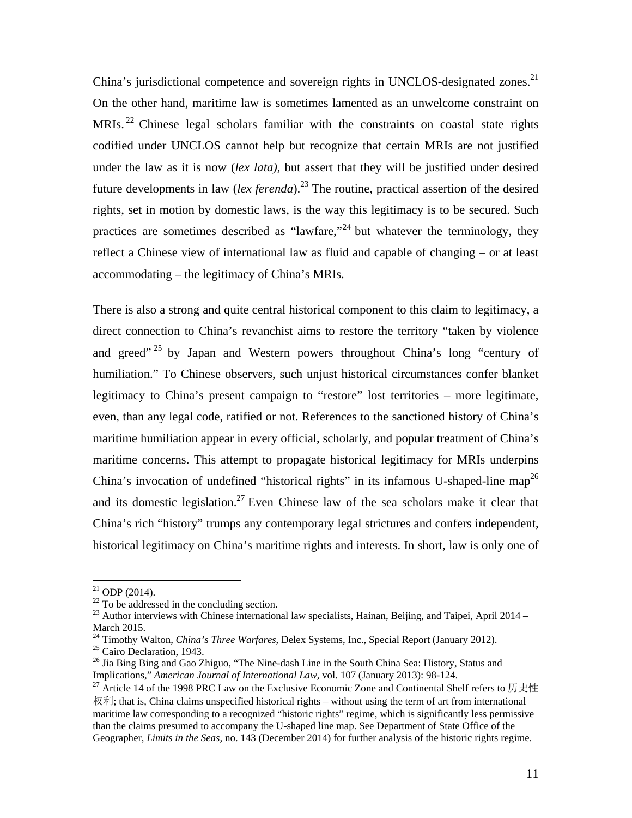China's jurisdictional competence and sovereign rights in UNCLOS-designated zones.<sup>21</sup> On the other hand, maritime law is sometimes lamented as an unwelcome constraint on MRIs.<sup>22</sup> Chinese legal scholars familiar with the constraints on coastal state rights codified under UNCLOS cannot help but recognize that certain MRIs are not justified under the law as it is now (*lex lata),* but assert that they will be justified under desired future developments in law (*lex ferenda*).<sup>23</sup> The routine, practical assertion of the desired rights, set in motion by domestic laws, is the way this legitimacy is to be secured. Such practices are sometimes described as "lawfare,"<sup>24</sup> but whatever the terminology, they reflect a Chinese view of international law as fluid and capable of changing – or at least accommodating – the legitimacy of China's MRIs.

There is also a strong and quite central historical component to this claim to legitimacy, a direct connection to China's revanchist aims to restore the territory "taken by violence and greed"<sup>25</sup> by Japan and Western powers throughout China's long "century of humiliation." To Chinese observers, such unjust historical circumstances confer blanket legitimacy to China's present campaign to "restore" lost territories – more legitimate, even, than any legal code, ratified or not. References to the sanctioned history of China's maritime humiliation appear in every official, scholarly, and popular treatment of China's maritime concerns. This attempt to propagate historical legitimacy for MRIs underpins China's invocation of undefined "historical rights" in its infamous U-shaped-line map<sup>26</sup> and its domestic legislation.<sup>27</sup> Even Chinese law of the sea scholars make it clear that China's rich "history" trumps any contemporary legal strictures and confers independent, historical legitimacy on China's maritime rights and interests. In short, law is only one of

 $^{21}$  ODP (2014).

 $22$  To be addressed in the concluding section.

 $^{23}$  Author interviews with Chinese international law specialists, Hainan, Beijing, and Taipei, April 2014 – March 2015.

<sup>&</sup>lt;sup>24</sup> Timothy Walton, *China's Three Warfares*, Delex Systems, Inc., Special Report (January 2012).<br><sup>25</sup> Cairo Declaration, 1943.

<sup>&</sup>lt;sup>26</sup> Jia Bing Bing and Gao Zhiguo, "The Nine-dash Line in the South China Sea: History, Status and Implications," *American Journal of International Law*, vol. 107 (January 2013): 98-124. 27 Article 14 of the 1998 PRC Law on the Exclusive Economic Zone and Continental Shelf refers to 历史性

权利; that is, China claims unspecified historical rights – without using the term of art from international maritime law corresponding to a recognized "historic rights" regime, which is significantly less permissive than the claims presumed to accompany the U-shaped line map. See Department of State Office of the Geographer, *Limits in the Seas,* no. 143 (December 2014) for further analysis of the historic rights regime.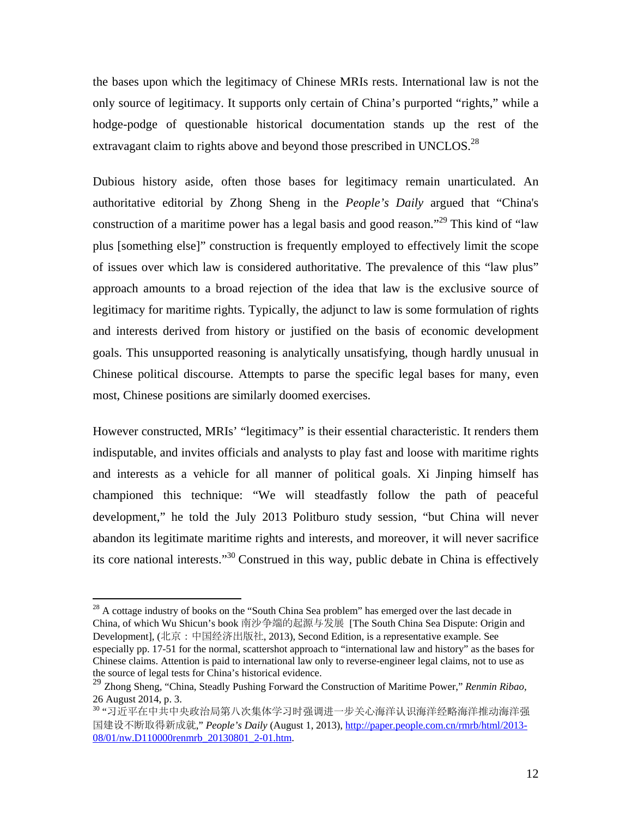the bases upon which the legitimacy of Chinese MRIs rests. International law is not the only source of legitimacy. It supports only certain of China's purported "rights," while a hodge-podge of questionable historical documentation stands up the rest of the extravagant claim to rights above and beyond those prescribed in UNCLOS.<sup>28</sup>

Dubious history aside, often those bases for legitimacy remain unarticulated. An authoritative editorial by Zhong Sheng in the *People's Daily* argued that "China's construction of a maritime power has a legal basis and good reason."<sup>29</sup> This kind of "law" plus [something else]" construction is frequently employed to effectively limit the scope of issues over which law is considered authoritative. The prevalence of this "law plus" approach amounts to a broad rejection of the idea that law is the exclusive source of legitimacy for maritime rights. Typically, the adjunct to law is some formulation of rights and interests derived from history or justified on the basis of economic development goals. This unsupported reasoning is analytically unsatisfying, though hardly unusual in Chinese political discourse. Attempts to parse the specific legal bases for many, even most, Chinese positions are similarly doomed exercises.

However constructed, MRIs' "legitimacy" is their essential characteristic. It renders them indisputable, and invites officials and analysts to play fast and loose with maritime rights and interests as a vehicle for all manner of political goals. Xi Jinping himself has championed this technique: "We will steadfastly follow the path of peaceful development," he told the July 2013 Politburo study session, "but China will never abandon its legitimate maritime rights and interests, and moreover, it will never sacrifice its core national interests."30 Construed in this way, public debate in China is effectively

 $^{28}$  A cottage industry of books on the "South China Sea problem" has emerged over the last decade in China, of which Wu Shicun's book 南沙争端的起源与发展 [The South China Sea Dispute: Origin and Development], (北京:中国经济出版社, 2013), Second Edition, is a representative example. See especially pp. 17-51 for the normal, scattershot approach to "international law and history" as the bases for Chinese claims. Attention is paid to international law only to reverse-engineer legal claims, not to use as the source of legal tests for China's historical evidence.

<sup>29</sup> Zhong Sheng, "China, Steadly Pushing Forward the Construction of Maritime Power," *Renmin Ribao,* 26 August 2014, p. 3.

<sup>30 &</sup>quot;习近平在中共中央政治局第八次集体学习时强调进一步关心海洋认识海洋经略海洋推动海洋强 国建设不断取得新成就," *People's Daily* (August 1, 2013), http://paper.people.com.cn/rmrb/html/2013-08/01/nw.D110000renmrb\_20130801\_2-01.htm.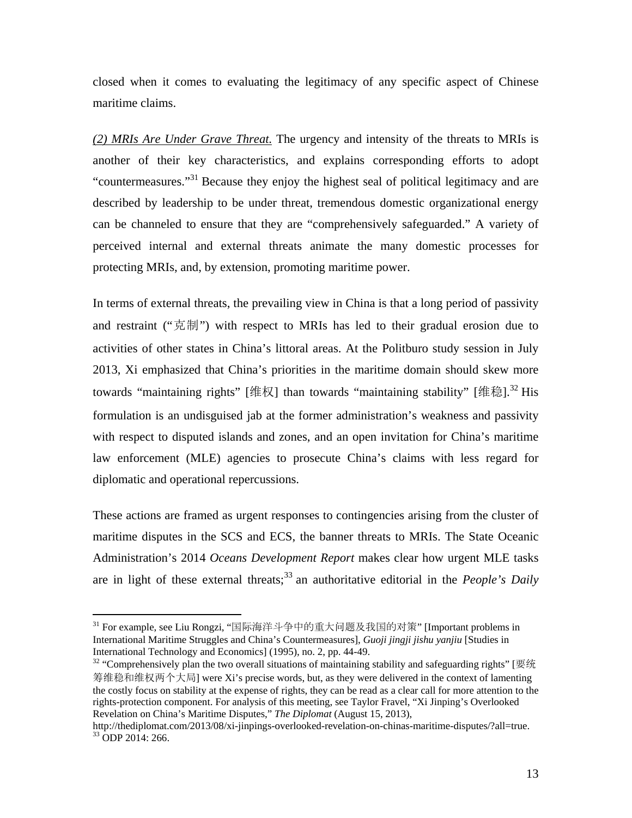closed when it comes to evaluating the legitimacy of any specific aspect of Chinese maritime claims.

*(2) MRIs Are Under Grave Threat.* The urgency and intensity of the threats to MRIs is another of their key characteristics, and explains corresponding efforts to adopt "countermeasures."<sup>31</sup> Because they enjoy the highest seal of political legitimacy and are described by leadership to be under threat, tremendous domestic organizational energy can be channeled to ensure that they are "comprehensively safeguarded." A variety of perceived internal and external threats animate the many domestic processes for protecting MRIs, and, by extension, promoting maritime power.

In terms of external threats, the prevailing view in China is that a long period of passivity and restraint ("克制") with respect to MRIs has led to their gradual erosion due to activities of other states in China's littoral areas. At the Politburo study session in July 2013, Xi emphasized that China's priorities in the maritime domain should skew more towards "maintaining rights" [维权] than towards "maintaining stability" [维稳].<sup>32</sup> His formulation is an undisguised jab at the former administration's weakness and passivity with respect to disputed islands and zones, and an open invitation for China's maritime law enforcement (MLE) agencies to prosecute China's claims with less regard for diplomatic and operational repercussions.

These actions are framed as urgent responses to contingencies arising from the cluster of maritime disputes in the SCS and ECS, the banner threats to MRIs. The State Oceanic Administration's 2014 *Oceans Development Report* makes clear how urgent MLE tasks are in light of these external threats;<sup>33</sup> an authoritative editorial in the *People's Daily* 

<sup>31</sup> For example, see Liu Rongzi, "国际海洋斗争中的重大问题及我国的对策" [Important problems in International Maritime Struggles and China's Countermeasures], *Guoji jingji jishu yanjiu* [Studies in International Technology and Economics] (1995), no. 2, pp. 44-49.

 $32$  "Comprehensively plan the two overall situations of maintaining stability and safeguarding rights" [要统 筹维稳和维权两个大局] were Xi's precise words, but, as they were delivered in the context of lamenting the costly focus on stability at the expense of rights, they can be read as a clear call for more attention to the rights-protection component. For analysis of this meeting, see Taylor Fravel, "Xi Jinping's Overlooked Revelation on China's Maritime Disputes," *The Diplomat* (August 15, 2013),

http://thediplomat.com/2013/08/xi-jinpings-overlooked-revelation-on-chinas-maritime-disputes/?all=true. 33 ODP 2014: 266.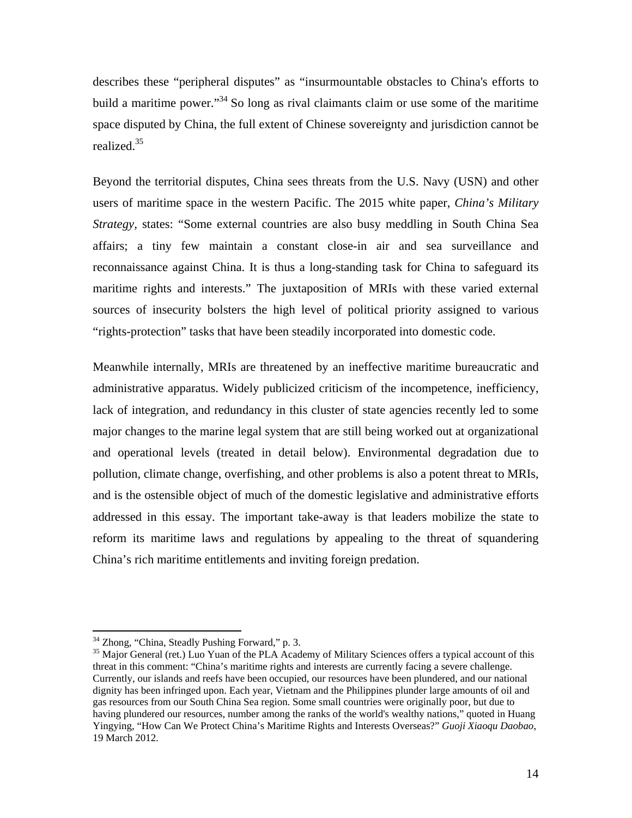describes these "peripheral disputes" as "insurmountable obstacles to China's efforts to build a maritime power.<sup>34</sup> So long as rival claimants claim or use some of the maritime space disputed by China, the full extent of Chinese sovereignty and jurisdiction cannot be realized.35

Beyond the territorial disputes, China sees threats from the U.S. Navy (USN) and other users of maritime space in the western Pacific. The 2015 white paper, *China's Military Strategy,* states: "Some external countries are also busy meddling in South China Sea affairs; a tiny few maintain a constant close-in air and sea surveillance and reconnaissance against China. It is thus a long-standing task for China to safeguard its maritime rights and interests." The juxtaposition of MRIs with these varied external sources of insecurity bolsters the high level of political priority assigned to various "rights-protection" tasks that have been steadily incorporated into domestic code.

Meanwhile internally, MRIs are threatened by an ineffective maritime bureaucratic and administrative apparatus. Widely publicized criticism of the incompetence, inefficiency, lack of integration, and redundancy in this cluster of state agencies recently led to some major changes to the marine legal system that are still being worked out at organizational and operational levels (treated in detail below). Environmental degradation due to pollution, climate change, overfishing, and other problems is also a potent threat to MRIs, and is the ostensible object of much of the domestic legislative and administrative efforts addressed in this essay. The important take-away is that leaders mobilize the state to reform its maritime laws and regulations by appealing to the threat of squandering China's rich maritime entitlements and inviting foreign predation.

1

<sup>&</sup>lt;sup>34</sup> Zhong, "China, Steadly Pushing Forward," p. 3.

<sup>&</sup>lt;sup>35</sup> Major General (ret.) Luo Yuan of the PLA Academy of Military Sciences offers a typical account of this threat in this comment: "China's maritime rights and interests are currently facing a severe challenge. Currently, our islands and reefs have been occupied, our resources have been plundered, and our national dignity has been infringed upon. Each year, Vietnam and the Philippines plunder large amounts of oil and gas resources from our South China Sea region. Some small countries were originally poor, but due to having plundered our resources, number among the ranks of the world's wealthy nations," quoted in Huang Yingying, "How Can We Protect China's Maritime Rights and Interests Overseas?" *Guoji Xiaoqu Daobao*, 19 March 2012.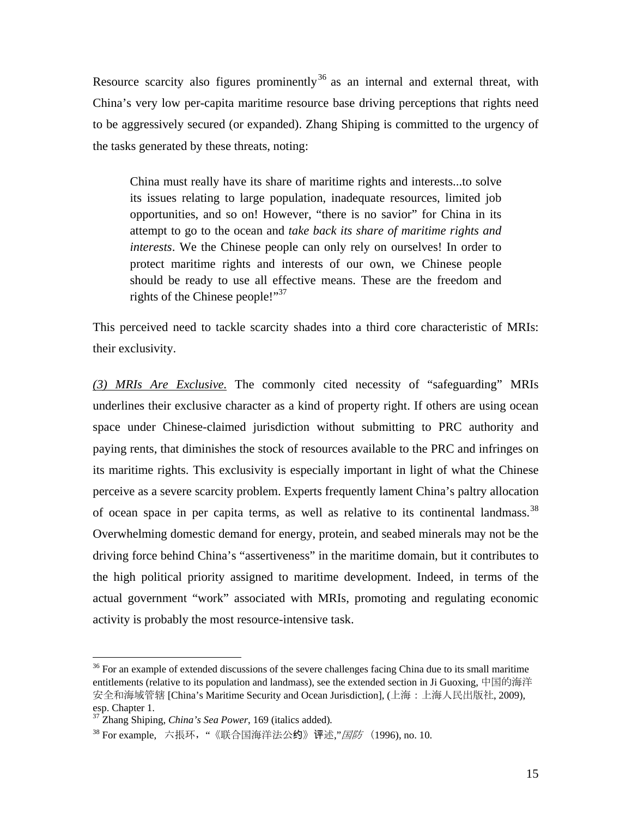Resource scarcity also figures prominently<sup>36</sup> as an internal and external threat, with China's very low per-capita maritime resource base driving perceptions that rights need to be aggressively secured (or expanded). Zhang Shiping is committed to the urgency of the tasks generated by these threats, noting:

China must really have its share of maritime rights and interests...to solve its issues relating to large population, inadequate resources, limited job opportunities, and so on! However, "there is no savior" for China in its attempt to go to the ocean and *take back its share of maritime rights and interests*. We the Chinese people can only rely on ourselves! In order to protect maritime rights and interests of our own, we Chinese people should be ready to use all effective means. These are the freedom and rights of the Chinese people!"<sup>37</sup>

This perceived need to tackle scarcity shades into a third core characteristic of MRIs: their exclusivity.

*(3) MRIs Are Exclusive.* The commonly cited necessity of "safeguarding" MRIs underlines their exclusive character as a kind of property right. If others are using ocean space under Chinese-claimed jurisdiction without submitting to PRC authority and paying rents, that diminishes the stock of resources available to the PRC and infringes on its maritime rights. This exclusivity is especially important in light of what the Chinese perceive as a severe scarcity problem. Experts frequently lament China's paltry allocation of ocean space in per capita terms, as well as relative to its continental landmass.<sup>38</sup> Overwhelming domestic demand for energy, protein, and seabed minerals may not be the driving force behind China's "assertiveness" in the maritime domain, but it contributes to the high political priority assigned to maritime development. Indeed, in terms of the actual government "work" associated with MRIs, promoting and regulating economic activity is probably the most resource-intensive task.

<u>.</u>

 $36$  For an example of extended discussions of the severe challenges facing China due to its small maritime entitlements (relative to its population and landmass), see the extended section in Ji Guoxing, 中国的海洋 安全和海域管辖 [China's Maritime Security and Ocean Jurisdiction], (上海:上海人民出版社, 2009), esp. Chapter 1.

<sup>37</sup> Zhang Shiping, *China's Sea Power*, 169 (italics added)*.* 

<sup>38</sup> For example, 六掁环, "《联合国海洋法公约》评述,"国防 (1996), no. 10.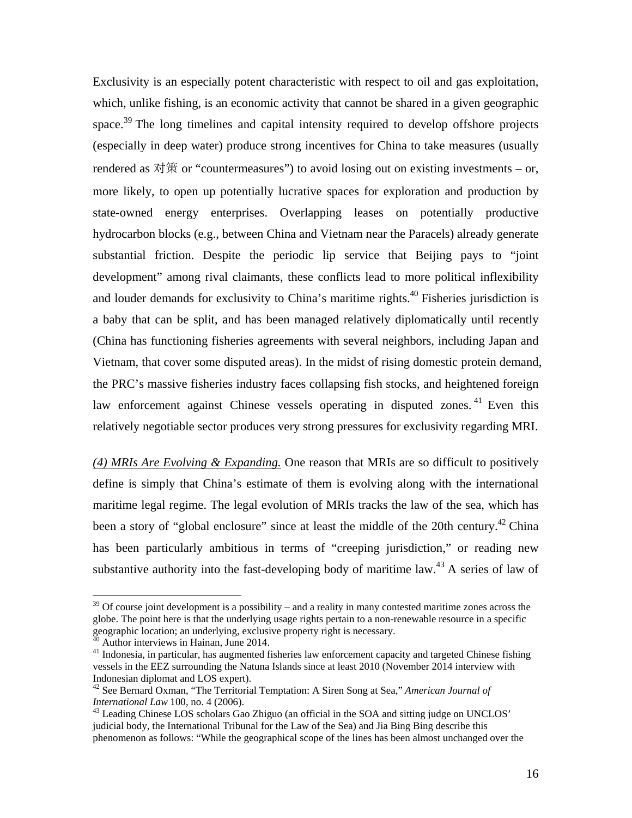Exclusivity is an especially potent characteristic with respect to oil and gas exploitation, which, unlike fishing, is an economic activity that cannot be shared in a given geographic space.<sup>39</sup> The long timelines and capital intensity required to develop offshore projects (especially in deep water) produce strong incentives for China to take measures (usually rendered as  $\nabla \ddot{\mathcal{R}}$  or "countermeasures") to avoid losing out on existing investments – or, more likely, to open up potentially lucrative spaces for exploration and production by state-owned energy enterprises. Overlapping leases on potentially productive hydrocarbon blocks (e.g., between China and Vietnam near the Paracels) already generate substantial friction. Despite the periodic lip service that Beijing pays to "joint development" among rival claimants, these conflicts lead to more political inflexibility and louder demands for exclusivity to China's maritime rights.<sup>40</sup> Fisheries jurisdiction is a baby that can be split, and has been managed relatively diplomatically until recently (China has functioning fisheries agreements with several neighbors, including Japan and Vietnam, that cover some disputed areas). In the midst of rising domestic protein demand, the PRC's massive fisheries industry faces collapsing fish stocks, and heightened foreign law enforcement against Chinese vessels operating in disputed zones.<sup>41</sup> Even this relatively negotiable sector produces very strong pressures for exclusivity regarding MRI.

*(4) MRIs Are Evolving & Expanding.* One reason that MRIs are so difficult to positively define is simply that China's estimate of them is evolving along with the international maritime legal regime. The legal evolution of MRIs tracks the law of the sea, which has been a story of "global enclosure" since at least the middle of the 20th century.<sup>42</sup> China has been particularly ambitious in terms of "creeping jurisdiction," or reading new substantive authority into the fast-developing body of maritime law.<sup>43</sup> A series of law of

 $39$  Of course joint development is a possibility – and a reality in many contested maritime zones across the globe. The point here is that the underlying usage rights pertain to a non-renewable resource in a specific geographic location; an underlying, exclusive property right is necessary. 40 Author interviews in Hainan, June 2014.

<sup>&</sup>lt;sup>41</sup> Indonesia, in particular, has augmented fisheries law enforcement capacity and targeted Chinese fishing vessels in the EEZ surrounding the Natuna Islands since at least 2010 (November 2014 interview with Indonesian diplomat and LOS expert).

<sup>&</sup>lt;sup>42</sup> See Bernard Oxman, "The Territorial Temptation: A Siren Song at Sea," *American Journal of International Law* 100, no. 4 (2006).

<sup>&</sup>lt;sup>43</sup> Leading Chinese LOS scholars Gao Zhiguo (an official in the SOA and sitting judge on UNCLOS' judicial body, the International Tribunal for the Law of the Sea) and Jia Bing Bing describe this phenomenon as follows: "While the geographical scope of the lines has been almost unchanged over the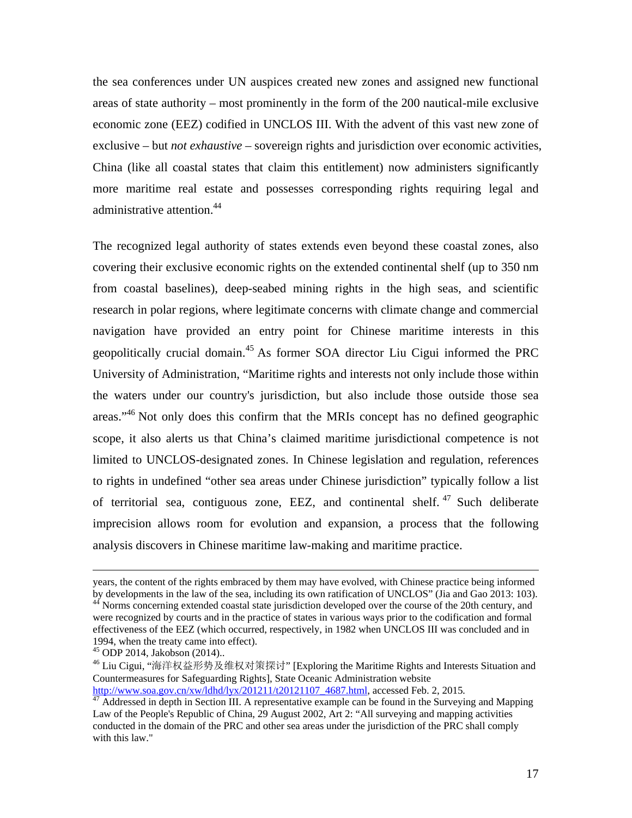the sea conferences under UN auspices created new zones and assigned new functional areas of state authority – most prominently in the form of the 200 nautical-mile exclusive economic zone (EEZ) codified in UNCLOS III. With the advent of this vast new zone of exclusive – but *not exhaustive* – sovereign rights and jurisdiction over economic activities, China (like all coastal states that claim this entitlement) now administers significantly more maritime real estate and possesses corresponding rights requiring legal and administrative attention.<sup>44</sup>

The recognized legal authority of states extends even beyond these coastal zones, also covering their exclusive economic rights on the extended continental shelf (up to 350 nm from coastal baselines), deep-seabed mining rights in the high seas, and scientific research in polar regions, where legitimate concerns with climate change and commercial navigation have provided an entry point for Chinese maritime interests in this geopolitically crucial domain.<sup>45</sup> As former SOA director Liu Cigui informed the PRC University of Administration, "Maritime rights and interests not only include those within the waters under our country's jurisdiction, but also include those outside those sea areas."<sup>46</sup> Not only does this confirm that the MRIs concept has no defined geographic scope, it also alerts us that China's claimed maritime jurisdictional competence is not limited to UNCLOS-designated zones. In Chinese legislation and regulation, references to rights in undefined "other sea areas under Chinese jurisdiction" typically follow a list of territorial sea, contiguous zone, EEZ, and continental shelf. 47 Such deliberate imprecision allows room for evolution and expansion, a process that the following analysis discovers in Chinese maritime law-making and maritime practice.

years, the content of the rights embraced by them may have evolved, with Chinese practice being informed<br>by developments in the law of the sea, including its own ratification of UNCLOS" (Jia and Gao 2013: 103).

<sup>&</sup>lt;sup>44</sup> Norms concerning extended coastal state jurisdiction developed over the course of the 20th century, and were recognized by courts and in the practice of states in various ways prior to the codification and formal effectiveness of the EEZ (which occurred, respectively, in 1982 when UNCLOS III was concluded and in 1994, when the treaty came into effect). 45 ODP 2014, Jakobson (2014)..

<sup>46</sup> Liu Cigui, "海洋权益形势及维权对策探讨" [Exploring the Maritime Rights and Interests Situation and Countermeasures for Safeguarding Rights], State Oceanic Administration website

http://www.soa.gov.cn/xw/ldhd/lyx/201211/t20121107\_4687.html, accessed Feb. 2, 2015.<br><sup>47</sup> Addressed in depth in Section III. A representative example can be found in the Surveying and Mapping Law of the People's Republic of China, 29 August 2002, Art 2: "All surveying and mapping activities conducted in the domain of the PRC and other sea areas under the jurisdiction of the PRC shall comply with this law."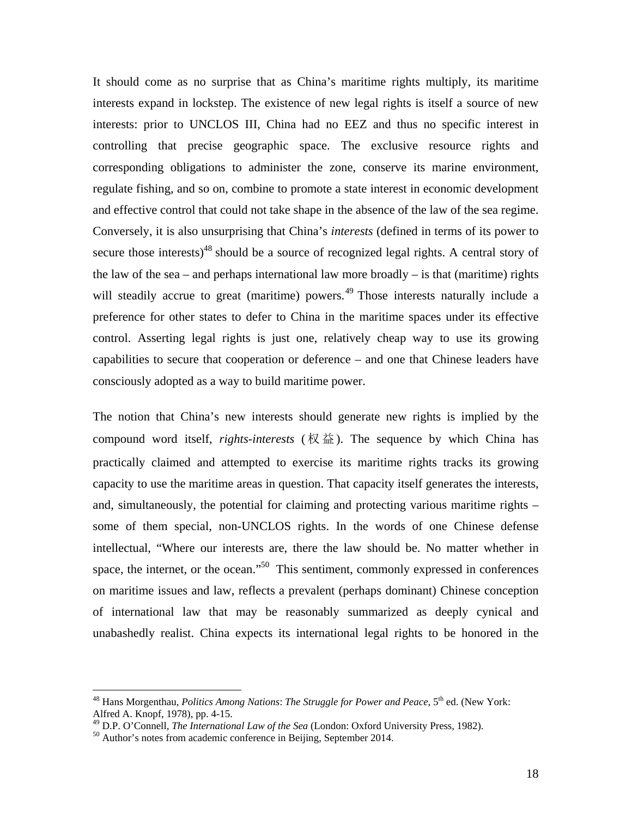It should come as no surprise that as China's maritime rights multiply, its maritime interests expand in lockstep. The existence of new legal rights is itself a source of new interests: prior to UNCLOS III, China had no EEZ and thus no specific interest in controlling that precise geographic space. The exclusive resource rights and corresponding obligations to administer the zone, conserve its marine environment, regulate fishing, and so on, combine to promote a state interest in economic development and effective control that could not take shape in the absence of the law of the sea regime. Conversely, it is also unsurprising that China's *interests* (defined in terms of its power to secure those interests)<sup>48</sup> should be a source of recognized legal rights. A central story of the law of the sea – and perhaps international law more broadly – is that (maritime) rights will steadily accrue to great (maritime) powers.<sup>49</sup> Those interests naturally include a preference for other states to defer to China in the maritime spaces under its effective control. Asserting legal rights is just one, relatively cheap way to use its growing capabilities to secure that cooperation or deference – and one that Chinese leaders have consciously adopted as a way to build maritime power.

The notion that China's new interests should generate new rights is implied by the compound word itself, *rights-interests* (权益). The sequence by which China has practically claimed and attempted to exercise its maritime rights tracks its growing capacity to use the maritime areas in question. That capacity itself generates the interests, and, simultaneously, the potential for claiming and protecting various maritime rights – some of them special, non-UNCLOS rights. In the words of one Chinese defense intellectual, "Where our interests are, there the law should be. No matter whether in space, the internet, or the ocean."<sup>50</sup> This sentiment, commonly expressed in conferences on maritime issues and law, reflects a prevalent (perhaps dominant) Chinese conception of international law that may be reasonably summarized as deeply cynical and unabashedly realist. China expects its international legal rights to be honored in the

<sup>48</sup> Hans Morgenthau, *Politics Among Nations*: *The Struggle for Power and Peace,* 5th ed. (New York: Alfred A. Knopf, 1978), pp. 4-15.

<sup>&</sup>lt;sup>49</sup> D.P. O'Connell, *The International Law of the Sea* (London: Oxford University Press, 1982).<br><sup>50</sup> Author's notes from academic conference in Beijing, September 2014.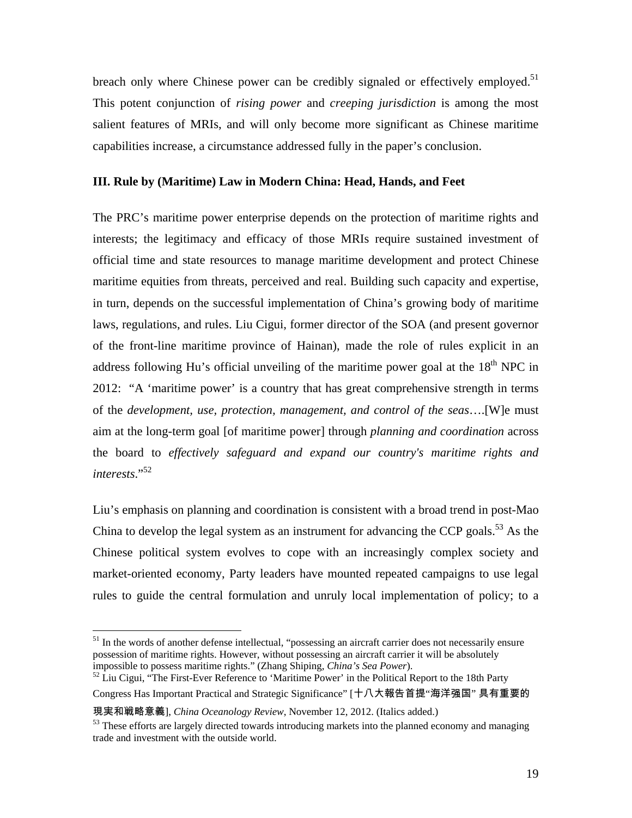breach only where Chinese power can be credibly signaled or effectively employed.<sup>51</sup> This potent conjunction of *rising power* and *creeping jurisdiction* is among the most salient features of MRIs, and will only become more significant as Chinese maritime capabilities increase, a circumstance addressed fully in the paper's conclusion.

#### **III. Rule by (Maritime) Law in Modern China: Head, Hands, and Feet**

The PRC's maritime power enterprise depends on the protection of maritime rights and interests; the legitimacy and efficacy of those MRIs require sustained investment of official time and state resources to manage maritime development and protect Chinese maritime equities from threats, perceived and real. Building such capacity and expertise, in turn, depends on the successful implementation of China's growing body of maritime laws, regulations, and rules. Liu Cigui, former director of the SOA (and present governor of the front-line maritime province of Hainan), made the role of rules explicit in an address following Hu's official unveiling of the maritime power goal at the  $18<sup>th</sup>$  NPC in 2012: "A 'maritime power' is a country that has great comprehensive strength in terms of the *development, use, protection, management, and control of the seas*….[W]e must aim at the long-term goal [of maritime power] through *planning and coordination* across the board to *effectively safeguard and expand our country's maritime rights and interests*."52

Liu's emphasis on planning and coordination is consistent with a broad trend in post-Mao China to develop the legal system as an instrument for advancing the CCP goals.<sup>53</sup> As the Chinese political system evolves to cope with an increasingly complex society and market-oriented economy, Party leaders have mounted repeated campaigns to use legal rules to guide the central formulation and unruly local implementation of policy; to a

<sup>&</sup>lt;sup>51</sup> In the words of another defense intellectual, "possessing an aircraft carrier does not necessarily ensure possession of maritime rights. However, without possessing an aircraft carrier it will be absolutely impossible to possess maritime rights." (Zhang Shiping, *China's Sea Power*). 52 Liu Cigui, "The First-Ever Reference to 'Maritime Power' in the Political Report to the 18th Party

Congress Has Important Practical and Strategic Significance" [十八大報告首提"海洋强国" 具有重要的

現実和戦略意義], *China Oceanology Review*, November 12, 2012. (Italics added.)<br><sup>53</sup> These efforts are largely directed towards introducing markets into the planned economy and managing trade and investment with the outside world.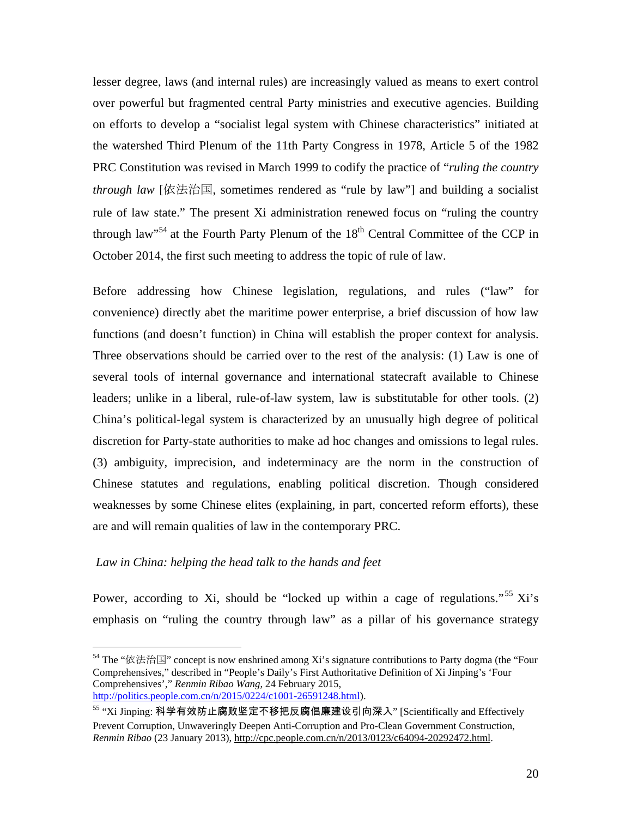lesser degree, laws (and internal rules) are increasingly valued as means to exert control over powerful but fragmented central Party ministries and executive agencies. Building on efforts to develop a "socialist legal system with Chinese characteristics" initiated at the watershed Third Plenum of the 11th Party Congress in 1978, Article 5 of the 1982 PRC Constitution was revised in March 1999 to codify the practice of "*ruling the country through law* [依法治国, sometimes rendered as "rule by law"] and building a socialist rule of law state." The present Xi administration renewed focus on "ruling the country through law<sup>354</sup> at the Fourth Party Plenum of the  $18<sup>th</sup>$  Central Committee of the CCP in October 2014, the first such meeting to address the topic of rule of law.

Before addressing how Chinese legislation, regulations, and rules ("law" for convenience) directly abet the maritime power enterprise, a brief discussion of how law functions (and doesn't function) in China will establish the proper context for analysis. Three observations should be carried over to the rest of the analysis: (1) Law is one of several tools of internal governance and international statecraft available to Chinese leaders; unlike in a liberal, rule-of-law system, law is substitutable for other tools. (2) China's political-legal system is characterized by an unusually high degree of political discretion for Party-state authorities to make ad hoc changes and omissions to legal rules. (3) ambiguity, imprecision, and indeterminacy are the norm in the construction of Chinese statutes and regulations, enabling political discretion. Though considered weaknesses by some Chinese elites (explaining, in part, concerted reform efforts), these are and will remain qualities of law in the contemporary PRC.

# *Law in China: helping the head talk to the hands and feet*

1

Power, according to Xi, should be "locked up within a cage of regulations."<sup>55</sup> Xi's emphasis on "ruling the country through law" as a pillar of his governance strategy

<sup>&</sup>lt;sup>54</sup> The "依法治国" concept is now enshrined among Xi's signature contributions to Party dogma (the "Four Comprehensives," described in "People's Daily's First Authoritative Definition of Xi Jinping's 'Four Comprehensives'," *Renmin Ribao Wang*, 24 February 2015, http://politics.people.com.cn/n/2015/0224/c1001-26591248.html).

<sup>55 &</sup>quot;Xi Jinping: 科学有效防止腐败坚定不移把反腐倡廉建设引向深入" [Scientifically and Effectively Prevent Corruption, Unwaveringly Deepen Anti-Corruption and Pro-Clean Government Construction, *Renmin Ribao* (23 January 2013), http://cpc.people.com.cn/n/2013/0123/c64094-20292472.html.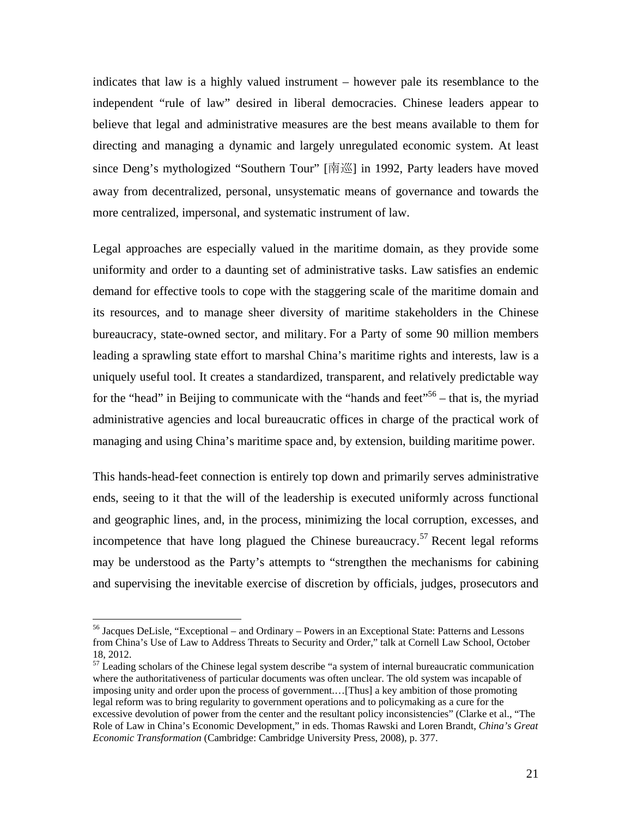indicates that law is a highly valued instrument – however pale its resemblance to the independent "rule of law" desired in liberal democracies. Chinese leaders appear to believe that legal and administrative measures are the best means available to them for directing and managing a dynamic and largely unregulated economic system. At least since Deng's mythologized "Southern Tour" [南巡] in 1992, Party leaders have moved away from decentralized, personal, unsystematic means of governance and towards the more centralized, impersonal, and systematic instrument of law.

Legal approaches are especially valued in the maritime domain, as they provide some uniformity and order to a daunting set of administrative tasks. Law satisfies an endemic demand for effective tools to cope with the staggering scale of the maritime domain and its resources, and to manage sheer diversity of maritime stakeholders in the Chinese bureaucracy, state-owned sector, and military. For a Party of some 90 million members leading a sprawling state effort to marshal China's maritime rights and interests, law is a uniquely useful tool. It creates a standardized, transparent, and relatively predictable way for the "head" in Beijing to communicate with the "hands and feet"<sup>56</sup> – that is, the myriad administrative agencies and local bureaucratic offices in charge of the practical work of managing and using China's maritime space and, by extension, building maritime power.

This hands-head-feet connection is entirely top down and primarily serves administrative ends, seeing to it that the will of the leadership is executed uniformly across functional and geographic lines, and, in the process, minimizing the local corruption, excesses, and incompetence that have long plagued the Chinese bureaucracy.<sup>57</sup> Recent legal reforms may be understood as the Party's attempts to "strengthen the mechanisms for cabining and supervising the inevitable exercise of discretion by officials, judges, prosecutors and

1

<sup>&</sup>lt;sup>56</sup> Jacques DeLisle, "Exceptional – and Ordinary – Powers in an Exceptional State: Patterns and Lessons from China's Use of Law to Address Threats to Security and Order," talk at Cornell Law School, October 18, 2012.

 $<sup>57</sup>$  Leading scholars of the Chinese legal system describe "a system of internal bureaucratic communication</sup> where the authoritativeness of particular documents was often unclear. The old system was incapable of imposing unity and order upon the process of government.…[Thus] a key ambition of those promoting legal reform was to bring regularity to government operations and to policymaking as a cure for the excessive devolution of power from the center and the resultant policy inconsistencies" (Clarke et al., "The Role of Law in China's Economic Development," in eds. Thomas Rawski and Loren Brandt, *China's Great Economic Transformation* (Cambridge: Cambridge University Press, 2008), p. 377.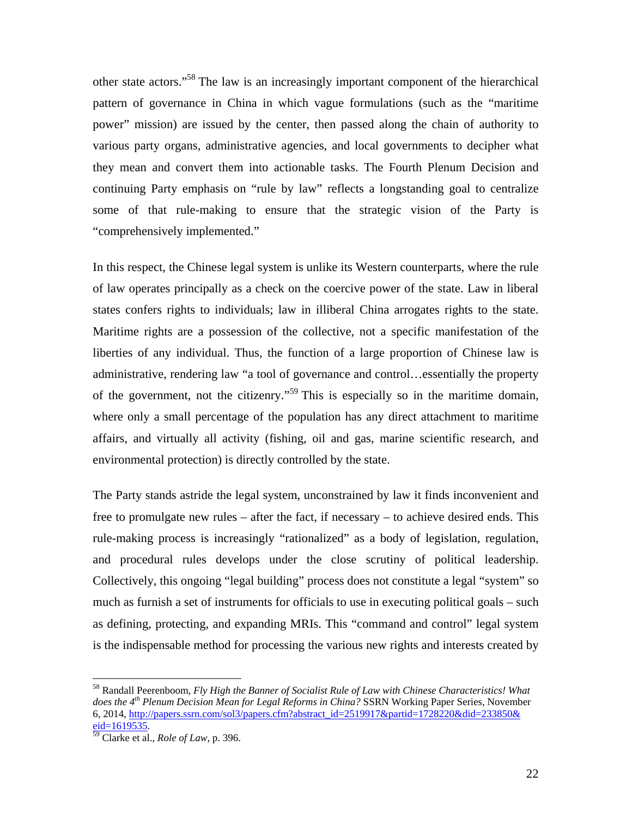other state actors."58 The law is an increasingly important component of the hierarchical pattern of governance in China in which vague formulations (such as the "maritime power" mission) are issued by the center, then passed along the chain of authority to various party organs, administrative agencies, and local governments to decipher what they mean and convert them into actionable tasks. The Fourth Plenum Decision and continuing Party emphasis on "rule by law" reflects a longstanding goal to centralize some of that rule-making to ensure that the strategic vision of the Party is "comprehensively implemented."

In this respect, the Chinese legal system is unlike its Western counterparts, where the rule of law operates principally as a check on the coercive power of the state. Law in liberal states confers rights to individuals; law in illiberal China arrogates rights to the state. Maritime rights are a possession of the collective, not a specific manifestation of the liberties of any individual. Thus, the function of a large proportion of Chinese law is administrative, rendering law "a tool of governance and control…essentially the property of the government, not the citizenry."<sup>59</sup> This is especially so in the maritime domain, where only a small percentage of the population has any direct attachment to maritime affairs, and virtually all activity (fishing, oil and gas, marine scientific research, and environmental protection) is directly controlled by the state.

The Party stands astride the legal system, unconstrained by law it finds inconvenient and free to promulgate new rules – after the fact, if necessary – to achieve desired ends. This rule-making process is increasingly "rationalized" as a body of legislation, regulation, and procedural rules develops under the close scrutiny of political leadership. Collectively, this ongoing "legal building" process does not constitute a legal "system" so much as furnish a set of instruments for officials to use in executing political goals – such as defining, protecting, and expanding MRIs. This "command and control" legal system is the indispensable method for processing the various new rights and interests created by

<sup>58</sup> Randall Peerenboom, *Fly High the Banner of Socialist Rule of Law with Chinese Characteristics! What does the 4th Plenum Decision Mean for Legal Reforms in China?* SSRN Working Paper Series, November 6, 2014, http://papers.ssrn.com/sol3/papers.cfm?abstract\_id=2519917&partid=1728220&did=233850& eid=1619535. 59 Clarke et al., *Role of Law,* p. 396.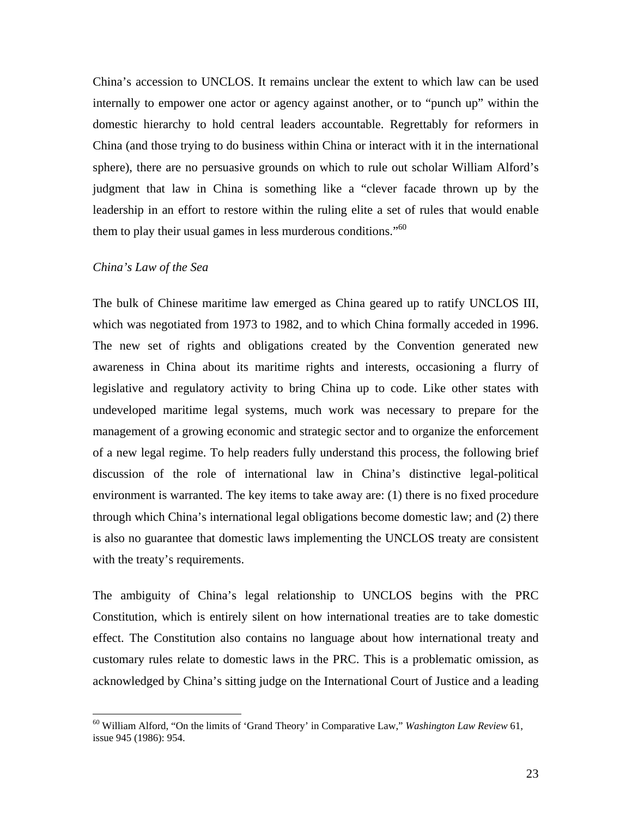China's accession to UNCLOS. It remains unclear the extent to which law can be used internally to empower one actor or agency against another, or to "punch up" within the domestic hierarchy to hold central leaders accountable. Regrettably for reformers in China (and those trying to do business within China or interact with it in the international sphere), there are no persuasive grounds on which to rule out scholar William Alford's judgment that law in China is something like a "clever facade thrown up by the leadership in an effort to restore within the ruling elite a set of rules that would enable them to play their usual games in less murderous conditions. $\cdot$ <sup>60</sup>

#### *China's Law of the Sea*

 $\overline{a}$ 

The bulk of Chinese maritime law emerged as China geared up to ratify UNCLOS III, which was negotiated from 1973 to 1982, and to which China formally acceded in 1996. The new set of rights and obligations created by the Convention generated new awareness in China about its maritime rights and interests, occasioning a flurry of legislative and regulatory activity to bring China up to code. Like other states with undeveloped maritime legal systems, much work was necessary to prepare for the management of a growing economic and strategic sector and to organize the enforcement of a new legal regime. To help readers fully understand this process, the following brief discussion of the role of international law in China's distinctive legal-political environment is warranted. The key items to take away are: (1) there is no fixed procedure through which China's international legal obligations become domestic law; and (2) there is also no guarantee that domestic laws implementing the UNCLOS treaty are consistent with the treaty's requirements.

The ambiguity of China's legal relationship to UNCLOS begins with the PRC Constitution, which is entirely silent on how international treaties are to take domestic effect. The Constitution also contains no language about how international treaty and customary rules relate to domestic laws in the PRC. This is a problematic omission, as acknowledged by China's sitting judge on the International Court of Justice and a leading

<sup>60</sup> William Alford, "On the limits of 'Grand Theory' in Comparative Law," *Washington Law Review* 61, issue 945 (1986): 954.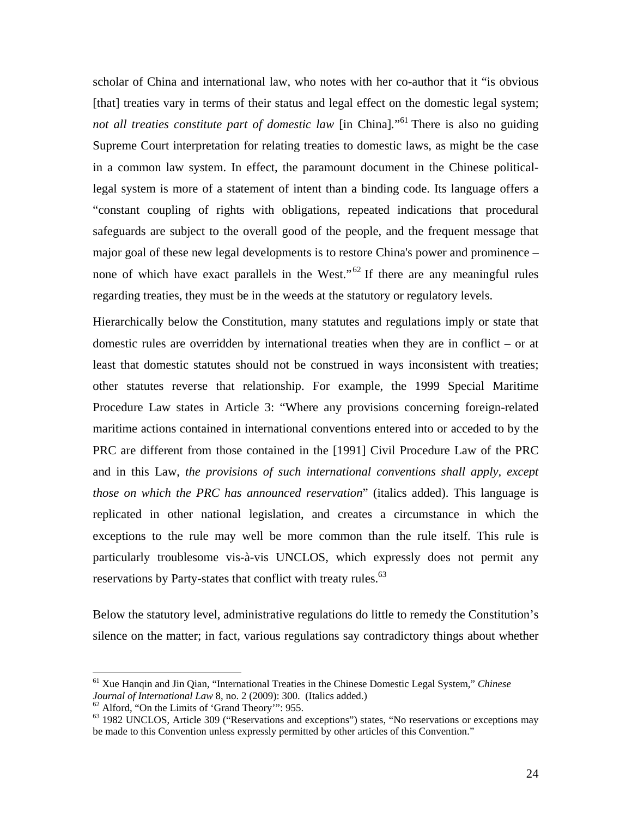scholar of China and international law, who notes with her co-author that it "is obvious [that] treaties vary in terms of their status and legal effect on the domestic legal system; not all treaties constitute part of domestic law [in China]."<sup>61</sup> There is also no guiding Supreme Court interpretation for relating treaties to domestic laws, as might be the case in a common law system. In effect, the paramount document in the Chinese politicallegal system is more of a statement of intent than a binding code. Its language offers a "constant coupling of rights with obligations, repeated indications that procedural safeguards are subject to the overall good of the people, and the frequent message that major goal of these new legal developments is to restore China's power and prominence – none of which have exact parallels in the West." $62$  If there are any meaningful rules regarding treaties, they must be in the weeds at the statutory or regulatory levels.

Hierarchically below the Constitution, many statutes and regulations imply or state that domestic rules are overridden by international treaties when they are in conflict – or at least that domestic statutes should not be construed in ways inconsistent with treaties; other statutes reverse that relationship. For example, the 1999 Special Maritime Procedure Law states in Article 3: "Where any provisions concerning foreign-related maritime actions contained in international conventions entered into or acceded to by the PRC are different from those contained in the [1991] Civil Procedure Law of the PRC and in this Law, *the provisions of such international conventions shall apply, except those on which the PRC has announced reservation*" (italics added). This language is replicated in other national legislation, and creates a circumstance in which the exceptions to the rule may well be more common than the rule itself. This rule is particularly troublesome vis-à-vis UNCLOS, which expressly does not permit any reservations by Party-states that conflict with treaty rules.<sup>63</sup>

Below the statutory level, administrative regulations do little to remedy the Constitution's silence on the matter; in fact, various regulations say contradictory things about whether

<sup>61</sup> Xue Hanqin and Jin Qian, "International Treaties in the Chinese Domestic Legal System," *Chinese Journal of International Law* 8, no. 2 (2009): 300. (Italics added.) <sup>62</sup> Alford, "On the Limits of 'Grand Theory'": 955.

<sup>63 1982</sup> UNCLOS, Article 309 ("Reservations and exceptions") states, "No reservations or exceptions may be made to this Convention unless expressly permitted by other articles of this Convention."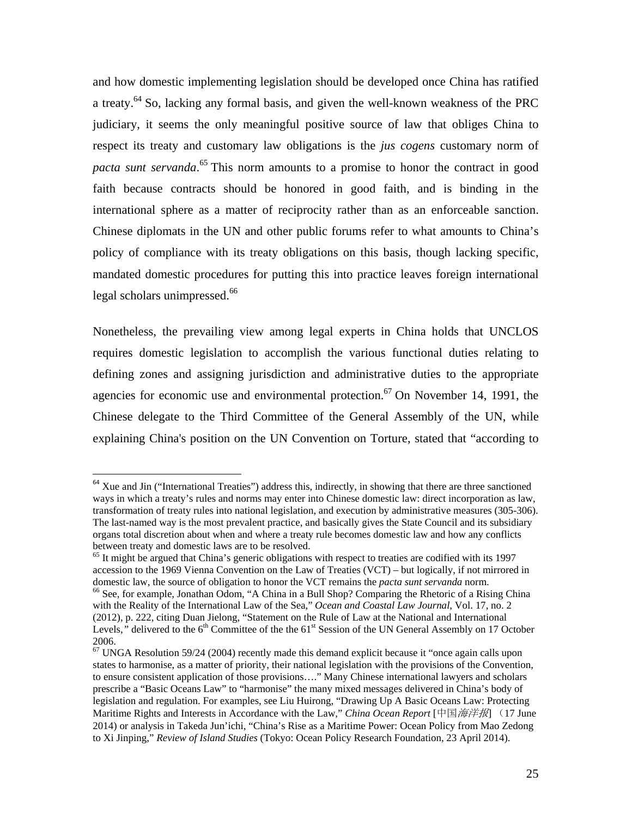and how domestic implementing legislation should be developed once China has ratified a treaty.<sup>64</sup> So, lacking any formal basis, and given the well-known weakness of the PRC judiciary, it seems the only meaningful positive source of law that obliges China to respect its treaty and customary law obligations is the *jus cogens* customary norm of *pacta sunt servanda*. 65 This norm amounts to a promise to honor the contract in good faith because contracts should be honored in good faith, and is binding in the international sphere as a matter of reciprocity rather than as an enforceable sanction. Chinese diplomats in the UN and other public forums refer to what amounts to China's policy of compliance with its treaty obligations on this basis, though lacking specific, mandated domestic procedures for putting this into practice leaves foreign international legal scholars unimpressed.<sup>66</sup>

Nonetheless, the prevailing view among legal experts in China holds that UNCLOS requires domestic legislation to accomplish the various functional duties relating to defining zones and assigning jurisdiction and administrative duties to the appropriate agencies for economic use and environmental protection.<sup>67</sup> On November 14, 1991, the Chinese delegate to the Third Committee of the General Assembly of the UN, while explaining China's position on the UN Convention on Torture, stated that "according to

<sup>&</sup>lt;sup>64</sup> Xue and Jin ("International Treaties") address this, indirectly, in showing that there are three sanctioned ways in which a treaty's rules and norms may enter into Chinese domestic law: direct incorporation as law, transformation of treaty rules into national legislation, and execution by administrative measures (305-306). The last-named way is the most prevalent practice, and basically gives the State Council and its subsidiary organs total discretion about when and where a treaty rule becomes domestic law and how any conflicts between treaty and domestic laws are to be resolved.

 $<sup>65</sup>$  It might be argued that China's generic obligations with respect to treaties are codified with its 1997</sup> accession to the 1969 Vienna Convention on the Law of Treaties (VCT) – but logically, if not mirrored in domestic law, the source of obligation to honor the VCT remains the *pacta sunt servanda* norm.<br><sup>66</sup> See, for example, Jonathan Odom, "A China in a Bull Shop? Comparing the Rhetoric of a Rising China with the Reality of the International Law of the Sea," *Ocean and Coastal Law Journal*, Vol. 17, no. 2 (2012), p. 222, citing Duan Jielong, "Statement on the Rule of Law at the National and International Levels," delivered to the 6<sup>th</sup> Committee of the the 61<sup>st</sup> Session of the UN General Assembly on 17 October 2006.

 $67$  UNGA Resolution 59/24 (2004) recently made this demand explicit because it "once again calls upon states to harmonise, as a matter of priority, their national legislation with the provisions of the Convention, to ensure consistent application of those provisions…." Many Chinese international lawyers and scholars prescribe a "Basic Oceans Law" to "harmonise" the many mixed messages delivered in China's body of legislation and regulation. For examples, see Liu Huirong, "Drawing Up A Basic Oceans Law: Protecting Maritime Rights and Interests in Accordance with the Law," *China Ocean Report* [中国海洋报] (17 June 2014) or analysis in Takeda Jun'ichi, "China's Rise as a Maritime Power: Ocean Policy from Mao Zedong to Xi Jinping," *Review of Island Studies* (Tokyo: Ocean Policy Research Foundation, 23 April 2014).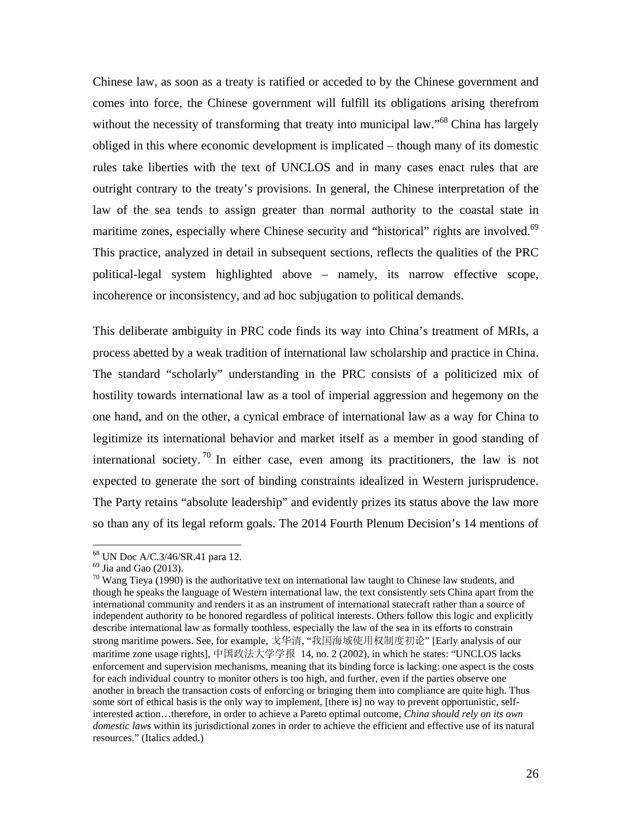Chinese law, as soon as a treaty is ratified or acceded to by the Chinese government and comes into force, the Chinese government will fulfill its obligations arising therefrom without the necessity of transforming that treaty into municipal law."<sup>68</sup> China has largely obliged in this where economic development is implicated – though many of its domestic rules take liberties with the text of UNCLOS and in many cases enact rules that are outright contrary to the treaty's provisions. In general, the Chinese interpretation of the law of the sea tends to assign greater than normal authority to the coastal state in maritime zones, especially where Chinese security and "historical" rights are involved.<sup>69</sup> This practice, analyzed in detail in subsequent sections, reflects the qualities of the PRC political-legal system highlighted above – namely, its narrow effective scope, incoherence or inconsistency, and ad hoc subjugation to political demands.

This deliberate ambiguity in PRC code finds its way into China's treatment of MRIs, a process abetted by a weak tradition of international law scholarship and practice in China. The standard "scholarly" understanding in the PRC consists of a politicized mix of hostility towards international law as a tool of imperial aggression and hegemony on the one hand, and on the other, a cynical embrace of international law as a way for China to legitimize its international behavior and market itself as a member in good standing of international society.<sup>70</sup> In either case, even among its practitioners, the law is not expected to generate the sort of binding constraints idealized in Western jurisprudence. The Party retains "absolute leadership" and evidently prizes its status above the law more so than any of its legal reform goals. The 2014 Fourth Plenum Decision's 14 mentions of

<sup>68</sup> UN Doc A/C.3/46/SR.41 para 12.

 $69$  Jia and Gao (2013).

 $70$  Wang Tieya (1990) is the authoritative text on international law taught to Chinese law students, and though he speaks the language of Western international law, the text consistently sets China apart from the international community and renders it as an instrument of international statecraft rather than a source of independent authority to be honored regardless of political interests. Others follow this logic and explicitly describe international law as formally toothless, especially the law of the sea in its efforts to constrain strong maritime powers. See, for example, 戈华清, "我国海域使用权制度初论" [Early analysis of our maritime zone usage rights], 中国政法大学学报 14, no. 2 (2002), in which he states: "UNCLOS lacks enforcement and supervision mechanisms, meaning that its binding force is lacking: one aspect is the costs for each individual country to monitor others is too high, and further, even if the parties observe one another in breach the transaction costs of enforcing or bringing them into compliance are quite high. Thus some sort of ethical basis is the only way to implement, [there is] no way to prevent opportunistic, selfinterested action…therefore, in order to achieve a Pareto optimal outcome, *China should rely on its own domestic laws* within its jurisdictional zones in order to achieve the efficient and effective use of its natural resources." (Italics added.)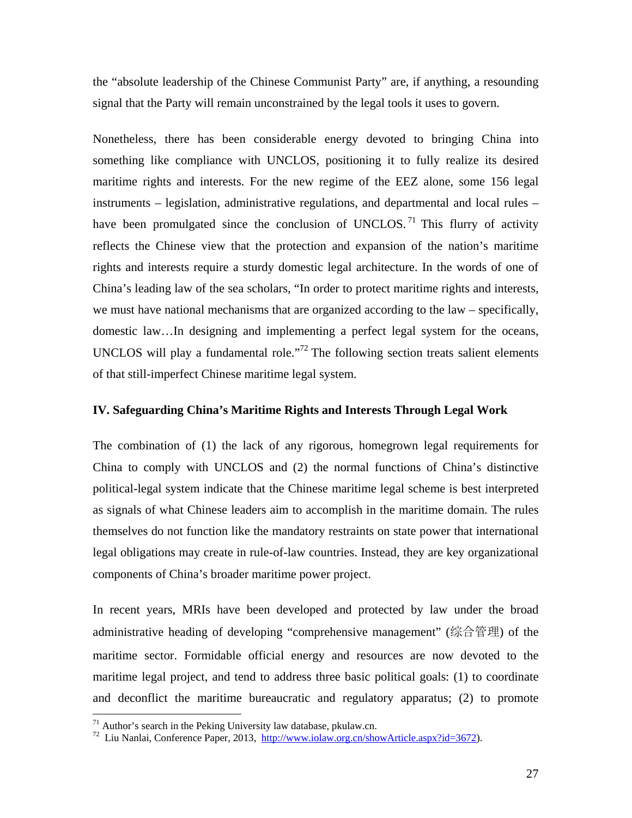the "absolute leadership of the Chinese Communist Party" are, if anything, a resounding signal that the Party will remain unconstrained by the legal tools it uses to govern.

Nonetheless, there has been considerable energy devoted to bringing China into something like compliance with UNCLOS, positioning it to fully realize its desired maritime rights and interests. For the new regime of the EEZ alone, some 156 legal instruments – legislation, administrative regulations, and departmental and local rules – have been promulgated since the conclusion of UNCLOS.<sup>71</sup> This flurry of activity reflects the Chinese view that the protection and expansion of the nation's maritime rights and interests require a sturdy domestic legal architecture. In the words of one of China's leading law of the sea scholars, "In order to protect maritime rights and interests, we must have national mechanisms that are organized according to the law – specifically, domestic law…In designing and implementing a perfect legal system for the oceans, UNCLOS will play a fundamental role."<sup>72</sup> The following section treats salient elements of that still-imperfect Chinese maritime legal system.

# **IV. Safeguarding China's Maritime Rights and Interests Through Legal Work**

The combination of (1) the lack of any rigorous, homegrown legal requirements for China to comply with UNCLOS and (2) the normal functions of China's distinctive political-legal system indicate that the Chinese maritime legal scheme is best interpreted as signals of what Chinese leaders aim to accomplish in the maritime domain. The rules themselves do not function like the mandatory restraints on state power that international legal obligations may create in rule-of-law countries. Instead, they are key organizational components of China's broader maritime power project.

In recent years, MRIs have been developed and protected by law under the broad administrative heading of developing "comprehensive management" (综合管理) of the maritime sector. Formidable official energy and resources are now devoted to the maritime legal project, and tend to address three basic political goals: (1) to coordinate and deconflict the maritime bureaucratic and regulatory apparatus; (2) to promote

 $71$  Author's search in the Peking University law database, pkulaw.cn.

<sup>72</sup> Liu Nanlai, Conference Paper, 2013, http://www.iolaw.org.cn/showArticle.aspx?id=3672).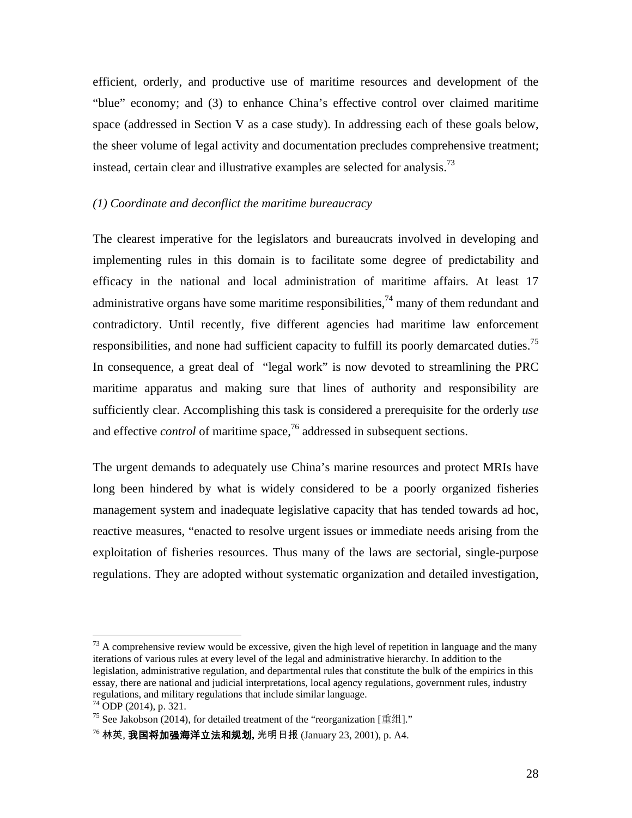efficient, orderly, and productive use of maritime resources and development of the "blue" economy; and (3) to enhance China's effective control over claimed maritime space (addressed in Section V as a case study). In addressing each of these goals below, the sheer volume of legal activity and documentation precludes comprehensive treatment; instead, certain clear and illustrative examples are selected for analysis.<sup>73</sup>

#### *(1) Coordinate and deconflict the maritime bureaucracy*

The clearest imperative for the legislators and bureaucrats involved in developing and implementing rules in this domain is to facilitate some degree of predictability and efficacy in the national and local administration of maritime affairs. At least 17 administrative organs have some maritime responsibilities,<sup>74</sup> many of them redundant and contradictory. Until recently, five different agencies had maritime law enforcement responsibilities, and none had sufficient capacity to fulfill its poorly demarcated duties.<sup>75</sup> In consequence, a great deal of "legal work" is now devoted to streamlining the PRC maritime apparatus and making sure that lines of authority and responsibility are sufficiently clear. Accomplishing this task is considered a prerequisite for the orderly *use*  and effective *control* of maritime space,<sup>76</sup> addressed in subsequent sections.

The urgent demands to adequately use China's marine resources and protect MRIs have long been hindered by what is widely considered to be a poorly organized fisheries management system and inadequate legislative capacity that has tended towards ad hoc, reactive measures, "enacted to resolve urgent issues or immediate needs arising from the exploitation of fisheries resources. Thus many of the laws are sectorial, single-purpose regulations. They are adopted without systematic organization and detailed investigation,

1

 $73$  A comprehensive review would be excessive, given the high level of repetition in language and the many iterations of various rules at every level of the legal and administrative hierarchy. In addition to the legislation, administrative regulation, and departmental rules that constitute the bulk of the empirics in this essay, there are national and judicial interpretations, local agency regulations, government rules, industry regulations, and military regulations that include similar language.  $74$  ODP (2014), p. 321.

<sup>75</sup> See Jakobson (2014)*,* for detailed treatment of the "reorganization [重组]."

<sup>76</sup> 林英, 我国将加强海洋立法和规划**,** 光明日报 (January 23, 2001), p. A4.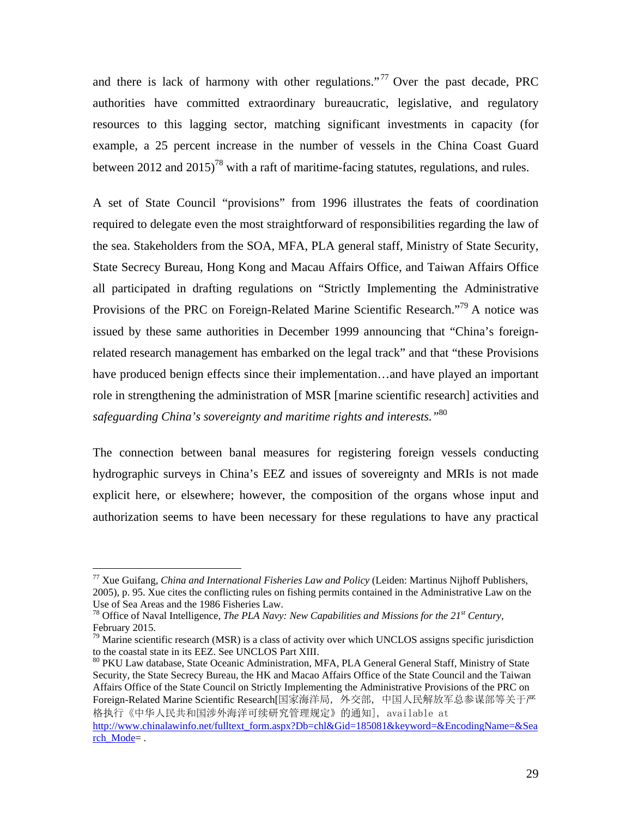and there is lack of harmony with other regulations."<sup>77</sup> Over the past decade, PRC authorities have committed extraordinary bureaucratic, legislative, and regulatory resources to this lagging sector, matching significant investments in capacity (for example, a 25 percent increase in the number of vessels in the China Coast Guard between 2012 and 2015)<sup>78</sup> with a raft of maritime-facing statutes, regulations, and rules.

A set of State Council "provisions" from 1996 illustrates the feats of coordination required to delegate even the most straightforward of responsibilities regarding the law of the sea. Stakeholders from the SOA, MFA, PLA general staff, Ministry of State Security, State Secrecy Bureau, Hong Kong and Macau Affairs Office, and Taiwan Affairs Office all participated in drafting regulations on "Strictly Implementing the Administrative Provisions of the PRC on Foreign-Related Marine Scientific Research."<sup>79</sup> A notice was issued by these same authorities in December 1999 announcing that "China's foreignrelated research management has embarked on the legal track" and that "these Provisions have produced benign effects since their implementation...and have played an important role in strengthening the administration of MSR [marine scientific research] activities and *safeguarding China's sovereignty and maritime rights and interests."*<sup>80</sup>

The connection between banal measures for registering foreign vessels conducting hydrographic surveys in China's EEZ and issues of sovereignty and MRIs is not made explicit here, or elsewhere; however, the composition of the organs whose input and authorization seems to have been necessary for these regulations to have any practical

1

<sup>80</sup> PKU Law database, State Oceanic Administration, MFA, PLA General General Staff, Ministry of State Security, the State Secrecy Bureau, the HK and Macao Affairs Office of the State Council and the Taiwan Affairs Office of the State Council on Strictly Implementing the Administrative Provisions of the PRC on Foreign-Related Marine Scientific Research[国家海洋局,外交部,中国人民解放军总参谋部等关于严 格执行《中华人民共和国涉外海洋可续研究管理规定》的通知], available at

<sup>77</sup> Xue Guifang, *China and International Fisheries Law and Policy* (Leiden: Martinus Nijhoff Publishers, 2005)*,* p. 95. Xue cites the conflicting rules on fishing permits contained in the Administrative Law on the

Use of Sea Areas and the 1986 Fisheries Law.<br><sup>78</sup> Office of Naval Intelligence, *The PLA Navy: New Capabilities and Missions for the 21<sup><i>st Century*, February 2015.</sup>

 $^{79}$  Marine scientific research (MSR) is a class of activity over which UNCLOS assigns specific jurisdiction to the coastal state in its EEZ. See UNCLOS Part XIII.

http://www.chinalawinfo.net/fulltext\_form.aspx?Db=chl&Gid=185081&keyword=&EncodingName=&Sea rch Mode=.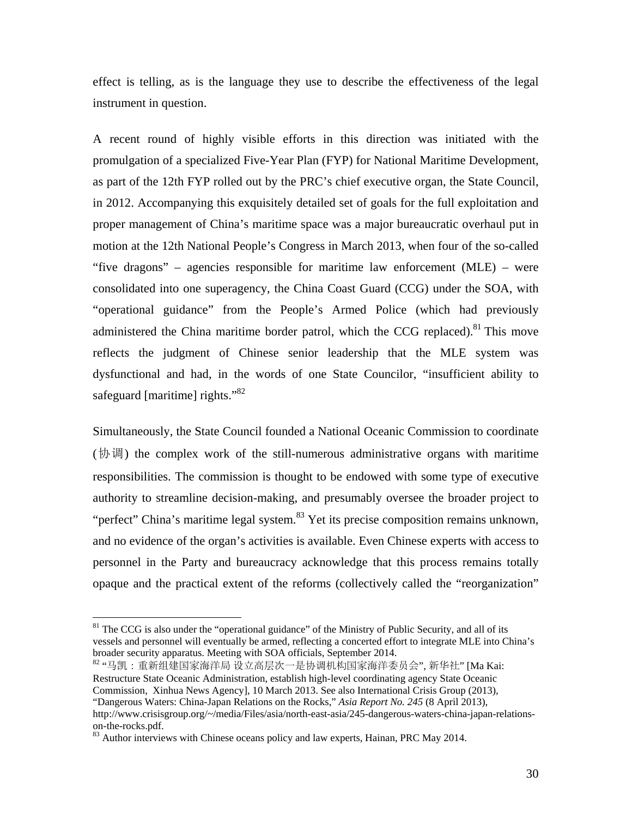effect is telling, as is the language they use to describe the effectiveness of the legal instrument in question.

A recent round of highly visible efforts in this direction was initiated with the promulgation of a specialized Five-Year Plan (FYP) for National Maritime Development, as part of the 12th FYP rolled out by the PRC's chief executive organ, the State Council, in 2012. Accompanying this exquisitely detailed set of goals for the full exploitation and proper management of China's maritime space was a major bureaucratic overhaul put in motion at the 12th National People's Congress in March 2013, when four of the so-called "five dragons" – agencies responsible for maritime law enforcement (MLE) – were consolidated into one superagency, the China Coast Guard (CCG) under the SOA, with "operational guidance" from the People's Armed Police (which had previously administered the China maritime border patrol, which the CCG replaced). $81$  This move reflects the judgment of Chinese senior leadership that the MLE system was dysfunctional and had, in the words of one State Councilor, "insufficient ability to safeguard [maritime] rights."<sup>82</sup>

Simultaneously, the State Council founded a National Oceanic Commission to coordinate (协调) the complex work of the still-numerous administrative organs with maritime responsibilities. The commission is thought to be endowed with some type of executive authority to streamline decision-making, and presumably oversee the broader project to "perfect" China's maritime legal system. $83$  Yet its precise composition remains unknown, and no evidence of the organ's activities is available. Even Chinese experts with access to personnel in the Party and bureaucracy acknowledge that this process remains totally opaque and the practical extent of the reforms (collectively called the "reorganization"

<sup>&</sup>lt;sup>81</sup> The CCG is also under the "operational guidance" of the Ministry of Public Security, and all of its vessels and personnel will eventually be armed, reflecting a concerted effort to integrate MLE into China's broader security apparatus. Meeting with SOA officials, September 2014.

<sup>82 &</sup>quot;马凯:重新组建国家海洋局 设立高层次一是协调机构国家海洋委员会", 新华社" [Ma Kai: Restructure State Oceanic Administration, establish high-level coordinating agency State Oceanic Commission, Xinhua News Agency], 10 March 2013. See also International Crisis Group (2013), "Dangerous Waters: China-Japan Relations on the Rocks," *Asia Report No. 245* (8 April 2013), http://www.crisisgroup.org/~/media/Files/asia/north-east-asia/245-dangerous-waters-china-japan-relationson-the-rocks.pdf.

<sup>&</sup>lt;sup>83</sup> Author interviews with Chinese oceans policy and law experts, Hainan, PRC May 2014.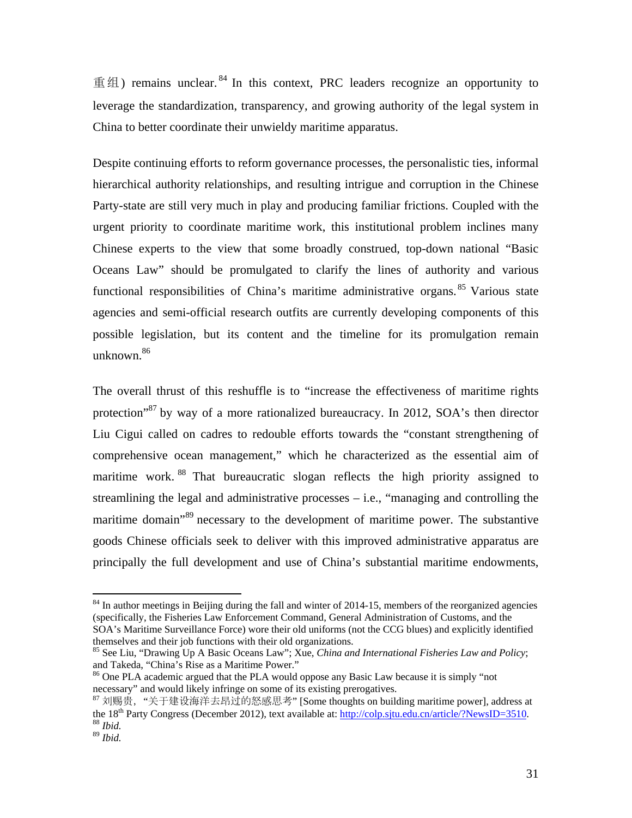重组) remains unclear. 84 In this context, PRC leaders recognize an opportunity to leverage the standardization, transparency, and growing authority of the legal system in China to better coordinate their unwieldy maritime apparatus.

Despite continuing efforts to reform governance processes, the personalistic ties, informal hierarchical authority relationships, and resulting intrigue and corruption in the Chinese Party-state are still very much in play and producing familiar frictions. Coupled with the urgent priority to coordinate maritime work, this institutional problem inclines many Chinese experts to the view that some broadly construed, top-down national "Basic Oceans Law" should be promulgated to clarify the lines of authority and various functional responsibilities of China's maritime administrative organs. 85 Various state agencies and semi-official research outfits are currently developing components of this possible legislation, but its content and the timeline for its promulgation remain unknown.86

The overall thrust of this reshuffle is to "increase the effectiveness of maritime rights protection"<sup>87</sup> by way of a more rationalized bureaucracy. In 2012, SOA's then director Liu Cigui called on cadres to redouble efforts towards the "constant strengthening of comprehensive ocean management," which he characterized as the essential aim of maritime work.<sup>88</sup> That bureaucratic slogan reflects the high priority assigned to streamlining the legal and administrative processes – i.e., "managing and controlling the maritime domain<sup>89</sup> necessary to the development of maritime power. The substantive goods Chinese officials seek to deliver with this improved administrative apparatus are principally the full development and use of China's substantial maritime endowments,

<sup>&</sup>lt;sup>84</sup> In author meetings in Beijing during the fall and winter of 2014-15, members of the reorganized agencies (specifically, the Fisheries Law Enforcement Command, General Administration of Customs, and the SOA's Maritime Surveillance Force) wore their old uniforms (not the CCG blues) and explicitly identified themselves and their job functions with their old organizations.

<sup>85</sup> See Liu, "Drawing Up A Basic Oceans Law"; Xue, *China and International Fisheries Law and Policy*; and Takeda, "China's Rise as a Maritime Power."

<sup>&</sup>lt;sup>86</sup> One PLA academic argued that the PLA would oppose any Basic Law because it is simply "not necessary" and would likely infringe on some of its existing prerogatives.<br><sup>87</sup> 刘赐贵, "关于建设海洋去昂过的怒感思考" [Some thoughts on building maritime power], address at

the 18<sup>th</sup> Party Congress (December 2012), text available at: <u>http://colp.sjtu.edu.cn/article/?NewsID=3510</u>.<br><sup>88</sup> *Ibid.* 

<sup>89</sup> *Ibid.*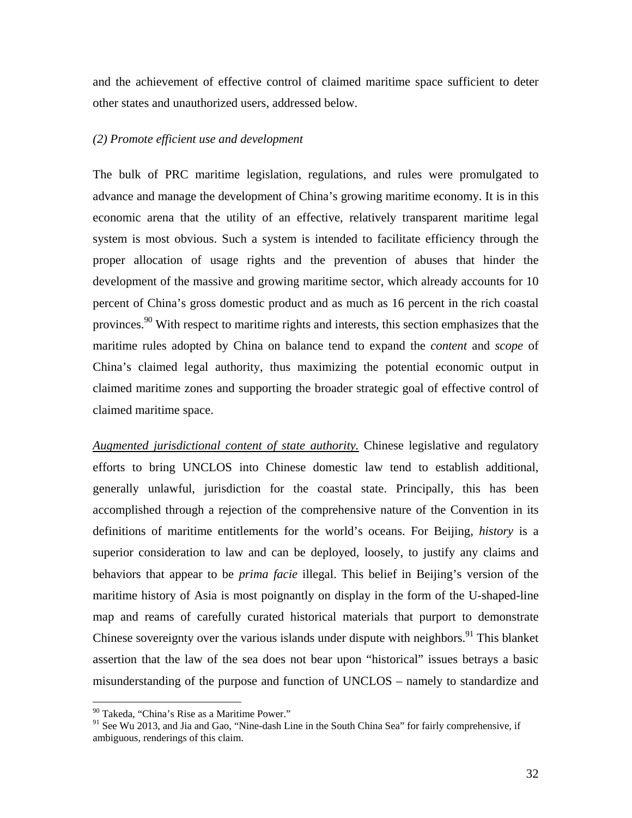and the achievement of effective control of claimed maritime space sufficient to deter other states and unauthorized users, addressed below.

#### *(2) Promote efficient use and development*

The bulk of PRC maritime legislation, regulations, and rules were promulgated to advance and manage the development of China's growing maritime economy. It is in this economic arena that the utility of an effective, relatively transparent maritime legal system is most obvious. Such a system is intended to facilitate efficiency through the proper allocation of usage rights and the prevention of abuses that hinder the development of the massive and growing maritime sector, which already accounts for 10 percent of China's gross domestic product and as much as 16 percent in the rich coastal provinces.<sup>90</sup> With respect to maritime rights and interests, this section emphasizes that the maritime rules adopted by China on balance tend to expand the *content* and *scope* of China's claimed legal authority, thus maximizing the potential economic output in claimed maritime zones and supporting the broader strategic goal of effective control of claimed maritime space.

*Augmented jurisdictional content of state authority.* Chinese legislative and regulatory efforts to bring UNCLOS into Chinese domestic law tend to establish additional, generally unlawful, jurisdiction for the coastal state. Principally, this has been accomplished through a rejection of the comprehensive nature of the Convention in its definitions of maritime entitlements for the world's oceans. For Beijing, *history* is a superior consideration to law and can be deployed, loosely, to justify any claims and behaviors that appear to be *prima facie* illegal. This belief in Beijing's version of the maritime history of Asia is most poignantly on display in the form of the U-shaped-line map and reams of carefully curated historical materials that purport to demonstrate Chinese sovereignty over the various islands under dispute with neighbors.<sup>91</sup> This blanket assertion that the law of the sea does not bear upon "historical" issues betrays a basic misunderstanding of the purpose and function of UNCLOS – namely to standardize and

<sup>90</sup> Takeda, "China's Rise as a Maritime Power."

<sup>&</sup>lt;sup>91</sup> See Wu 2013, and Jia and Gao, "Nine-dash Line in the South China Sea" for fairly comprehensive, if ambiguous, renderings of this claim.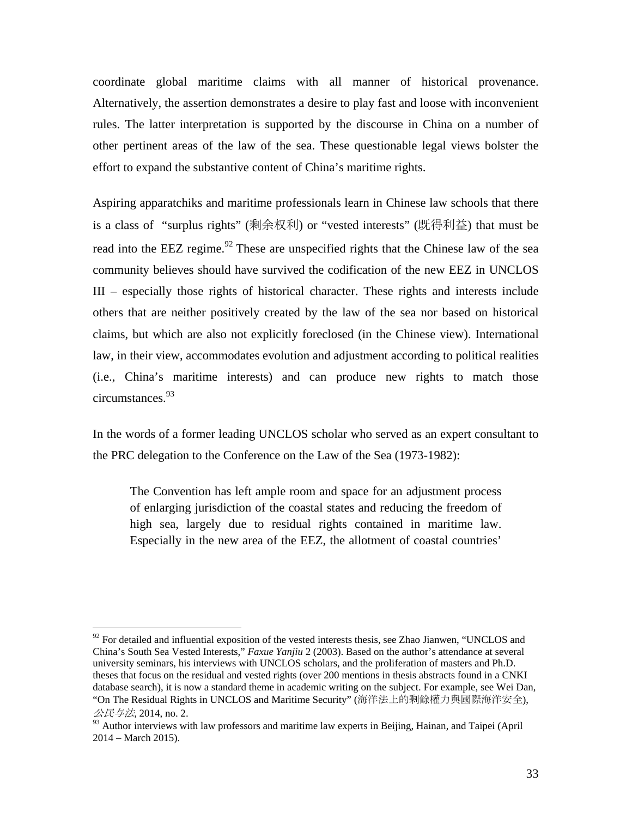coordinate global maritime claims with all manner of historical provenance. Alternatively, the assertion demonstrates a desire to play fast and loose with inconvenient rules. The latter interpretation is supported by the discourse in China on a number of other pertinent areas of the law of the sea. These questionable legal views bolster the effort to expand the substantive content of China's maritime rights.

Aspiring apparatchiks and maritime professionals learn in Chinese law schools that there is a class of "surplus rights" (剩余权利) or "vested interests" (既得利益) that must be read into the EEZ regime.<sup>92</sup> These are unspecified rights that the Chinese law of the sea community believes should have survived the codification of the new EEZ in UNCLOS III – especially those rights of historical character. These rights and interests include others that are neither positively created by the law of the sea nor based on historical claims, but which are also not explicitly foreclosed (in the Chinese view). International law, in their view, accommodates evolution and adjustment according to political realities (i.e., China's maritime interests) and can produce new rights to match those circumstances.93

In the words of a former leading UNCLOS scholar who served as an expert consultant to the PRC delegation to the Conference on the Law of the Sea (1973-1982):

The Convention has left ample room and space for an adjustment process of enlarging jurisdiction of the coastal states and reducing the freedom of high sea, largely due to residual rights contained in maritime law. Especially in the new area of the EEZ, the allotment of coastal countries'

<u>.</u>

 $92$  For detailed and influential exposition of the vested interests thesis, see Zhao Jianwen, "UNCLOS and China's South Sea Vested Interests," *Faxue Yanjiu* 2 (2003). Based on the author's attendance at several university seminars, his interviews with UNCLOS scholars, and the proliferation of masters and Ph.D. theses that focus on the residual and vested rights (over 200 mentions in thesis abstracts found in a CNKI database search), it is now a standard theme in academic writing on the subject. For example, see Wei Dan, "On The Residual Rights in UNCLOS and Maritime Security" (海洋法上的剩餘權力與國際海洋安全),

公民与法*,* 2014, no. 2.

<sup>93</sup> Author interviews with law professors and maritime law experts in Beijing, Hainan, and Taipei (April 2014 – March 2015).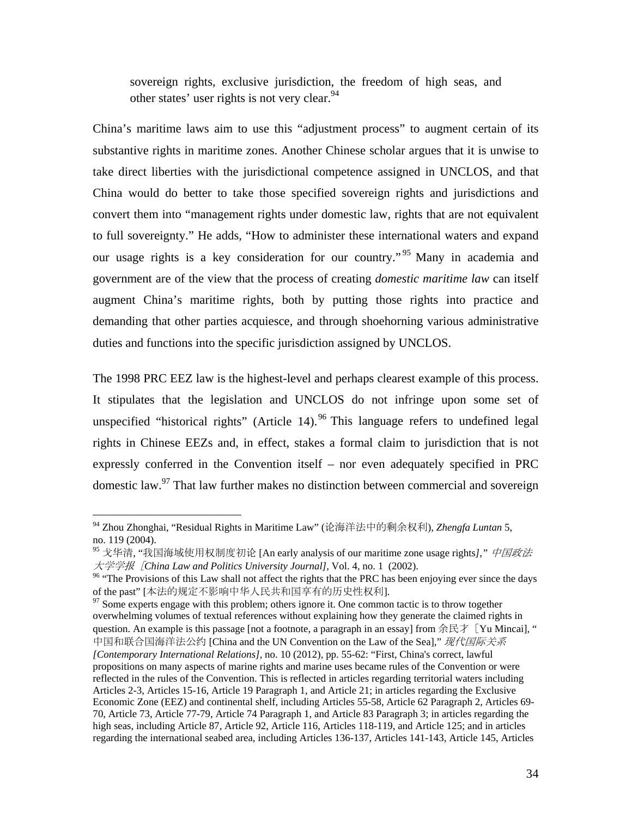sovereign rights, exclusive jurisdiction, the freedom of high seas, and other states' user rights is not very clear.  $94$ 

China's maritime laws aim to use this "adjustment process" to augment certain of its substantive rights in maritime zones. Another Chinese scholar argues that it is unwise to take direct liberties with the jurisdictional competence assigned in UNCLOS, and that China would do better to take those specified sovereign rights and jurisdictions and convert them into "management rights under domestic law, rights that are not equivalent to full sovereignty." He adds, "How to administer these international waters and expand our usage rights is a key consideration for our country.<sup>" 95</sup> Many in academia and government are of the view that the process of creating *domestic maritime law* can itself augment China's maritime rights, both by putting those rights into practice and demanding that other parties acquiesce, and through shoehorning various administrative duties and functions into the specific jurisdiction assigned by UNCLOS.

The 1998 PRC EEZ law is the highest-level and perhaps clearest example of this process. It stipulates that the legislation and UNCLOS do not infringe upon some set of unspecified "historical rights" (Article 14). <sup>96</sup> This language refers to undefined legal rights in Chinese EEZs and, in effect, stakes a formal claim to jurisdiction that is not expressly conferred in the Convention itself – nor even adequately specified in PRC domestic law.97 That law further makes no distinction between commercial and sovereign

<sup>94</sup> Zhou Zhonghai, "Residual Rights in Maritime Law" (论海洋法中的剩余权利), *Zhengfa Luntan* 5, no. 119 (2004).

<sup>95</sup> 戈华清, "我国海域使用权制度初论 [An early analysis of our maritime zone usage rights*],"* 中国政法

大学学报[*China Law and Politics University Journal],* Vol. 4, no. 1 (2002). 96 "The Provisions of this Law shall not affect the rights that the PRC has been enjoying ever since the days of the past" [本法的规定不影响中华人民共和国享有的历史性权利].<br><sup>97</sup> Some experts engage with this problem; others ignore it. One common tactic is to throw together

overwhelming volumes of textual references without explaining how they generate the claimed rights in question. An example is this passage [not a footnote, a paragraph in an essay] from 余民才 [Yu Mincai], " 中国和联合国海洋法公约 [China and the UN Convention on the Law of the Sea]," 现代国际关系 *[Contemporary International Relations],* no. 10 (2012), pp. 55-62: "First, China's correct, lawful propositions on many aspects of marine rights and marine uses became rules of the Convention or were reflected in the rules of the Convention. This is reflected in articles regarding territorial waters including Articles 2-3, Articles 15-16, Article 19 Paragraph 1, and Article 21; in articles regarding the Exclusive Economic Zone (EEZ) and continental shelf, including Articles 55-58, Article 62 Paragraph 2, Articles 69- 70, Article 73, Article 77-79, Article 74 Paragraph 1, and Article 83 Paragraph 3; in articles regarding the high seas, including Article 87, Article 92, Article 116, Articles 118-119, and Article 125; and in articles regarding the international seabed area, including Articles 136-137, Articles 141-143, Article 145, Articles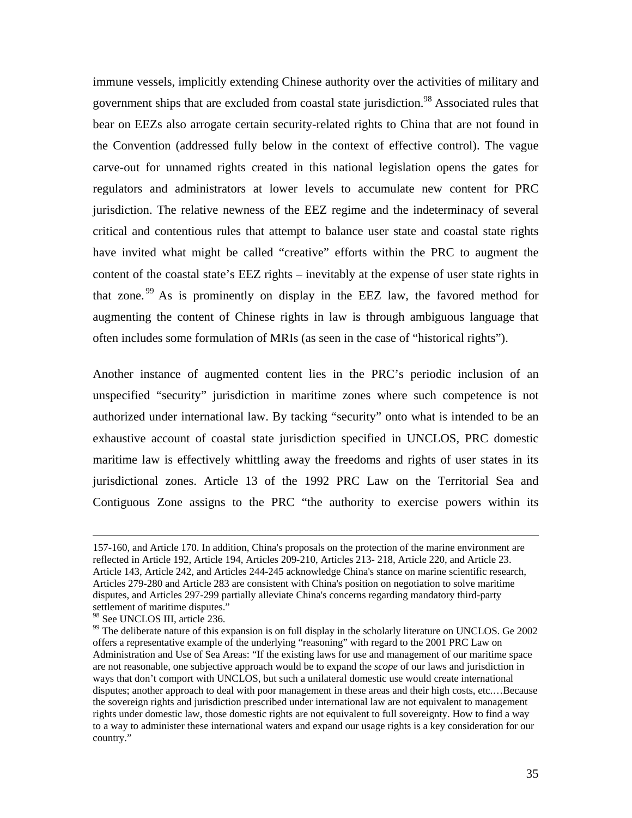immune vessels, implicitly extending Chinese authority over the activities of military and government ships that are excluded from coastal state jurisdiction.<sup>98</sup> Associated rules that bear on EEZs also arrogate certain security-related rights to China that are not found in the Convention (addressed fully below in the context of effective control). The vague carve-out for unnamed rights created in this national legislation opens the gates for regulators and administrators at lower levels to accumulate new content for PRC jurisdiction. The relative newness of the EEZ regime and the indeterminacy of several critical and contentious rules that attempt to balance user state and coastal state rights have invited what might be called "creative" efforts within the PRC to augment the content of the coastal state's EEZ rights – inevitably at the expense of user state rights in that zone. 99 As is prominently on display in the EEZ law, the favored method for augmenting the content of Chinese rights in law is through ambiguous language that often includes some formulation of MRIs (as seen in the case of "historical rights").

Another instance of augmented content lies in the PRC's periodic inclusion of an unspecified "security" jurisdiction in maritime zones where such competence is not authorized under international law. By tacking "security" onto what is intended to be an exhaustive account of coastal state jurisdiction specified in UNCLOS, PRC domestic maritime law is effectively whittling away the freedoms and rights of user states in its jurisdictional zones. Article 13 of the 1992 PRC Law on the Territorial Sea and Contiguous Zone assigns to the PRC "the authority to exercise powers within its

 <sup>157-160,</sup> and Article 170. In addition, China's proposals on the protection of the marine environment are reflected in Article 192, Article 194, Articles 209-210, Articles 213- 218, Article 220, and Article 23. Article 143, Article 242, and Articles 244-245 acknowledge China's stance on marine scientific research, Articles 279-280 and Article 283 are consistent with China's position on negotiation to solve maritime disputes, and Articles 297-299 partially alleviate China's concerns regarding mandatory third-party settlement of maritime disputes."

<sup>98</sup> See UNCLOS III, article 236.

<sup>&</sup>lt;sup>99</sup> The deliberate nature of this expansion is on full display in the scholarly literature on UNCLOS. Ge 2002 offers a representative example of the underlying "reasoning" with regard to the 2001 PRC Law on Administration and Use of Sea Areas: "If the existing laws for use and management of our maritime space are not reasonable, one subjective approach would be to expand the *scope* of our laws and jurisdiction in ways that don't comport with UNCLOS, but such a unilateral domestic use would create international disputes; another approach to deal with poor management in these areas and their high costs, etc.…Because the sovereign rights and jurisdiction prescribed under international law are not equivalent to management rights under domestic law, those domestic rights are not equivalent to full sovereignty. How to find a way to a way to administer these international waters and expand our usage rights is a key consideration for our country."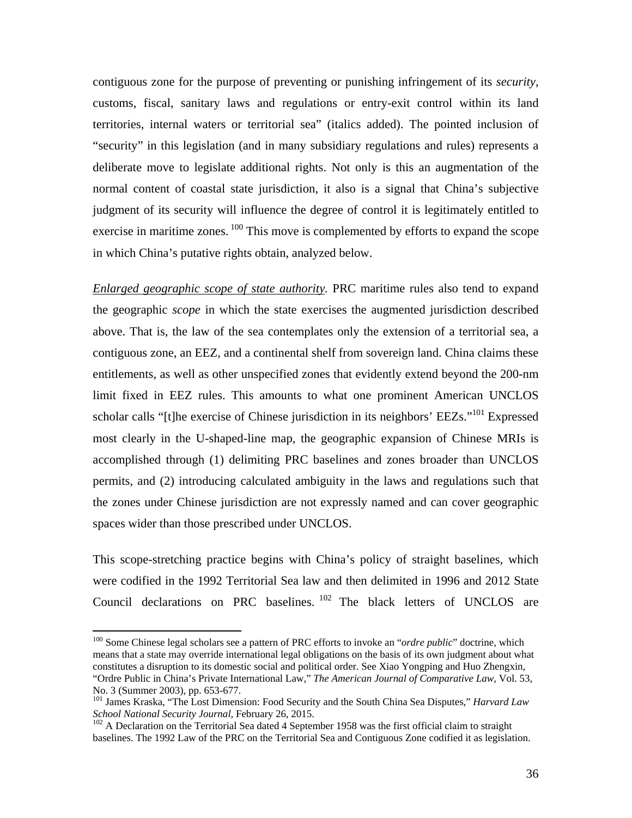contiguous zone for the purpose of preventing or punishing infringement of its *security*, customs, fiscal, sanitary laws and regulations or entry-exit control within its land territories, internal waters or territorial sea" (italics added). The pointed inclusion of "security" in this legislation (and in many subsidiary regulations and rules) represents a deliberate move to legislate additional rights. Not only is this an augmentation of the normal content of coastal state jurisdiction, it also is a signal that China's subjective judgment of its security will influence the degree of control it is legitimately entitled to exercise in maritime zones. <sup>100</sup> This move is complemented by efforts to expand the scope in which China's putative rights obtain, analyzed below.

*Enlarged geographic scope of state authority.* PRC maritime rules also tend to expand the geographic *scope* in which the state exercises the augmented jurisdiction described above. That is, the law of the sea contemplates only the extension of a territorial sea, a contiguous zone, an EEZ, and a continental shelf from sovereign land. China claims these entitlements, as well as other unspecified zones that evidently extend beyond the 200-nm limit fixed in EEZ rules. This amounts to what one prominent American UNCLOS scholar calls "[t]he exercise of Chinese jurisdiction in its neighbors' EEZs."<sup>101</sup> Expressed most clearly in the U-shaped-line map, the geographic expansion of Chinese MRIs is accomplished through (1) delimiting PRC baselines and zones broader than UNCLOS permits, and (2) introducing calculated ambiguity in the laws and regulations such that the zones under Chinese jurisdiction are not expressly named and can cover geographic spaces wider than those prescribed under UNCLOS.

This scope-stretching practice begins with China's policy of straight baselines, which were codified in the 1992 Territorial Sea law and then delimited in 1996 and 2012 State Council declarations on PRC baselines. <sup>102</sup> The black letters of UNCLOS are

1

<sup>&</sup>lt;sup>100</sup> Some Chinese legal scholars see a pattern of PRC efforts to invoke an "*ordre public*" doctrine, which means that a state may override international legal obligations on the basis of its own judgment about what constitutes a disruption to its domestic social and political order. See Xiao Yongping and Huo Zhengxin, "Ordre Public in China's Private International Law," *The American Journal of Comparative Law*, Vol. 53,

No. 3 (Summer 2003), pp. 653-677.

<sup>&</sup>lt;sup>101</sup> James Kraska, "The Lost Dimension: Food Security and the South China Sea Disputes," *Harvard Law School National Security Journal*, February 26, 2015.

<sup>&</sup>lt;sup>102</sup> A Declaration on the Territorial Sea dated 4 September 1958 was the first official claim to straight baselines. The 1992 Law of the PRC on the Territorial Sea and Contiguous Zone codified it as legislation.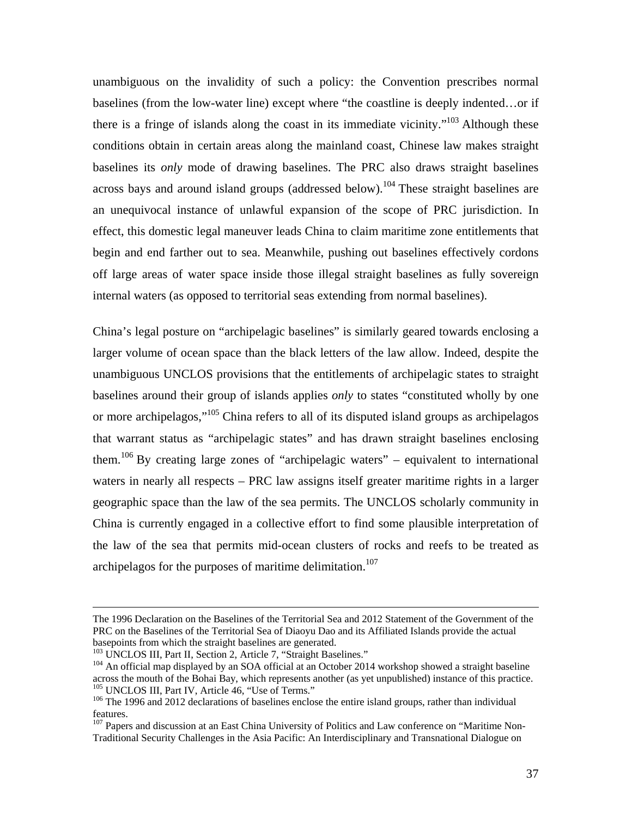unambiguous on the invalidity of such a policy: the Convention prescribes normal baselines (from the low-water line) except where "the coastline is deeply indented…or if there is a fringe of islands along the coast in its immediate vicinity."<sup>103</sup> Although these conditions obtain in certain areas along the mainland coast, Chinese law makes straight baselines its *only* mode of drawing baselines. The PRC also draws straight baselines across bays and around island groups (addressed below).<sup>104</sup> These straight baselines are an unequivocal instance of unlawful expansion of the scope of PRC jurisdiction. In effect, this domestic legal maneuver leads China to claim maritime zone entitlements that begin and end farther out to sea. Meanwhile, pushing out baselines effectively cordons off large areas of water space inside those illegal straight baselines as fully sovereign internal waters (as opposed to territorial seas extending from normal baselines).

China's legal posture on "archipelagic baselines" is similarly geared towards enclosing a larger volume of ocean space than the black letters of the law allow. Indeed, despite the unambiguous UNCLOS provisions that the entitlements of archipelagic states to straight baselines around their group of islands applies *only* to states "constituted wholly by one or more archipelagos,<sup>"105</sup> China refers to all of its disputed island groups as archipelagos that warrant status as "archipelagic states" and has drawn straight baselines enclosing them.<sup>106</sup> By creating large zones of "archipelagic waters" – equivalent to international waters in nearly all respects – PRC law assigns itself greater maritime rights in a larger geographic space than the law of the sea permits. The UNCLOS scholarly community in China is currently engaged in a collective effort to find some plausible interpretation of the law of the sea that permits mid-ocean clusters of rocks and reefs to be treated as archipelagos for the purposes of maritime delimitation.<sup>107</sup>

The 1996 Declaration on the Baselines of the Territorial Sea and 2012 Statement of the Government of the PRC on the Baselines of the Territorial Sea of Diaoyu Dao and its Affiliated Islands provide the actual basepoints from which the straight baselines are generated.<br><sup>103</sup> UNCLOS III, Part II, Section 2, Article 7, "Straight Baselines."

<sup>&</sup>lt;sup>104</sup> An official map displayed by an SOA official at an October 2014 workshop showed a straight baseline across the mouth of the Bohai Bay, which represents another (as yet unpublished) instance of this practice.<br><sup>105</sup> UNCLOS III, Part IV, Article 46, "Use of Terms."

 $106$  The 1996 and 2012 declarations of baselines enclose the entire island groups, rather than individual features.

<sup>&</sup>lt;sup>107</sup> Papers and discussion at an East China University of Politics and Law conference on "Maritime Non-Traditional Security Challenges in the Asia Pacific: An Interdisciplinary and Transnational Dialogue on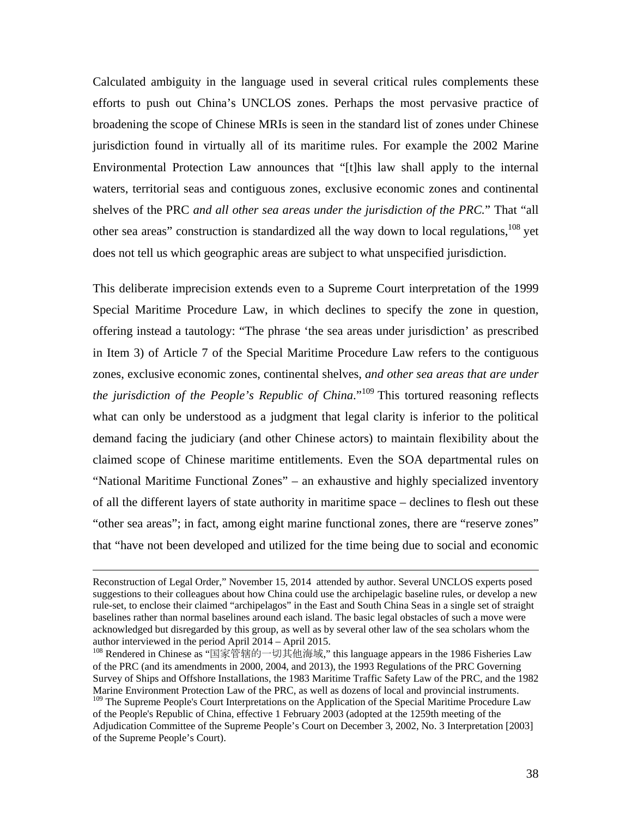Calculated ambiguity in the language used in several critical rules complements these efforts to push out China's UNCLOS zones. Perhaps the most pervasive practice of broadening the scope of Chinese MRIs is seen in the standard list of zones under Chinese jurisdiction found in virtually all of its maritime rules. For example the 2002 Marine Environmental Protection Law announces that "[t]his law shall apply to the internal waters, territorial seas and contiguous zones, exclusive economic zones and continental shelves of the PRC *and all other sea areas under the jurisdiction of the PRC.*" That "all other sea areas" construction is standardized all the way down to local regulations, <sup>108</sup> yet does not tell us which geographic areas are subject to what unspecified jurisdiction.

This deliberate imprecision extends even to a Supreme Court interpretation of the 1999 Special Maritime Procedure Law, in which declines to specify the zone in question, offering instead a tautology: "The phrase 'the sea areas under jurisdiction' as prescribed in Item 3) of Article 7 of the Special Maritime Procedure Law refers to the contiguous zones, exclusive economic zones, continental shelves, *and other sea areas that are under the jurisdiction of the People's Republic of China*."<sup>109</sup> This tortured reasoning reflects what can only be understood as a judgment that legal clarity is inferior to the political demand facing the judiciary (and other Chinese actors) to maintain flexibility about the claimed scope of Chinese maritime entitlements. Even the SOA departmental rules on "National Maritime Functional Zones" – an exhaustive and highly specialized inventory of all the different layers of state authority in maritime space – declines to flesh out these "other sea areas"; in fact, among eight marine functional zones, there are "reserve zones" that "have not been developed and utilized for the time being due to social and economic

Reconstruction of Legal Order," November 15, 2014 attended by author. Several UNCLOS experts posed suggestions to their colleagues about how China could use the archipelagic baseline rules, or develop a new rule-set, to enclose their claimed "archipelagos" in the East and South China Seas in a single set of straight baselines rather than normal baselines around each island. The basic legal obstacles of such a move were acknowledged but disregarded by this group, as well as by several other law of the sea scholars whom the author interviewed in the period April 2014 – April 2015.

<sup>108</sup> Rendered in Chinese as "国家管辖的一切其他海域," this language appears in the 1986 Fisheries Law of the PRC (and its amendments in 2000, 2004, and 2013), the 1993 Regulations of the PRC Governing Survey of Ships and Offshore Installations, the 1983 Maritime Traffic Safety Law of the PRC, and the 1982 Marine Environment Protection Law of the PRC, as well as dozens of local and provincial instruments.

<sup>&</sup>lt;sup>109</sup> The Supreme People's Court Interpretations on the Application of the Special Maritime Procedure Law of the People's Republic of China, effective 1 February 2003 (adopted at the 1259th meeting of the Adjudication Committee of the Supreme People's Court on December 3, 2002, No. 3 Interpretation [2003] of the Supreme People's Court).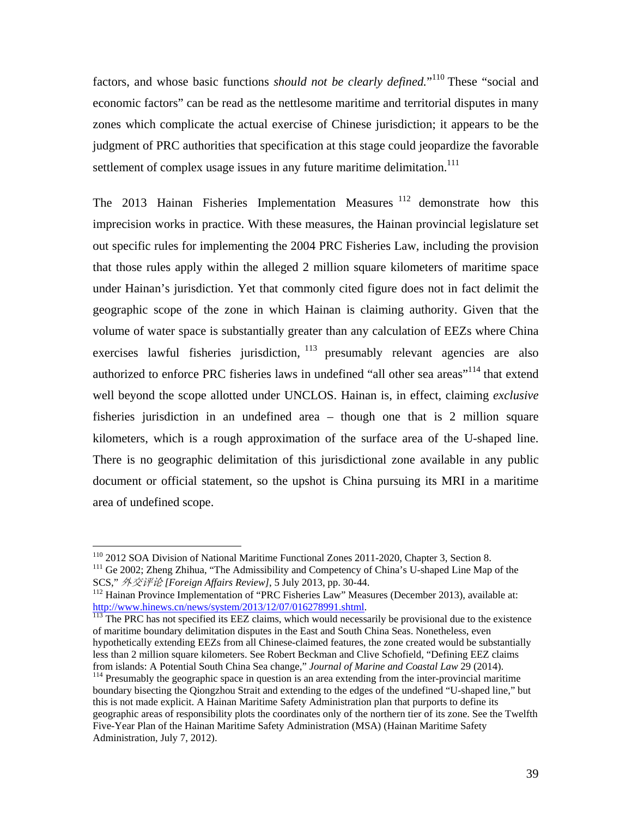factors, and whose basic functions *should not be clearly defined*."<sup>110</sup> These "social and economic factors" can be read as the nettlesome maritime and territorial disputes in many zones which complicate the actual exercise of Chinese jurisdiction; it appears to be the judgment of PRC authorities that specification at this stage could jeopardize the favorable settlement of complex usage issues in any future maritime delimitation.<sup>111</sup>

The 2013 Hainan Fisheries Implementation Measures<sup>112</sup> demonstrate how this imprecision works in practice. With these measures, the Hainan provincial legislature set out specific rules for implementing the 2004 PRC Fisheries Law, including the provision that those rules apply within the alleged 2 million square kilometers of maritime space under Hainan's jurisdiction. Yet that commonly cited figure does not in fact delimit the geographic scope of the zone in which Hainan is claiming authority. Given that the volume of water space is substantially greater than any calculation of EEZs where China exercises lawful fisheries jurisdiction,  $113$  presumably relevant agencies are also authorized to enforce PRC fisheries laws in undefined "all other sea areas"<sup>114</sup> that extend well beyond the scope allotted under UNCLOS. Hainan is, in effect, claiming *exclusive* fisheries jurisdiction in an undefined area – though one that is 2 million square kilometers, which is a rough approximation of the surface area of the U-shaped line. There is no geographic delimitation of this jurisdictional zone available in any public document or official statement, so the upshot is China pursuing its MRI in a maritime area of undefined scope.

<sup>&</sup>lt;sup>110</sup> 2012 SOA Division of National Maritime Functional Zones 2011-2020, Chapter 3, Section 8.

<sup>&</sup>lt;sup>111</sup> Ge 2002; Zheng Zhihua, "The Admissibility and Competency of China's U-shaped Line Map of the

SCS," 外交评论 [Foreign Affairs Review], 5 July 2013, pp. 30-44.<br><sup>112</sup> Hainan Province Implementation of "PRC Fisheries Law" Measures (December 2013), available at:<br>http://www.hinews.cn/news/system/2013/12/07/016278991.shtml.

 $\frac{113}{113}$  The PRC has not specified its EEZ claims, which would necessarily be provisional due to the existence of maritime boundary delimitation disputes in the East and South China Seas. Nonetheless, even hypothetically extending EEZs from all Chinese-claimed features, the zone created would be substantially less than 2 million square kilometers. See Robert Beckman and Clive Schofield, "Defining EEZ claims from islands: A Potential South China Sea change," Journal of Marine and Coastal Law 29 (2014).

<sup>&</sup>lt;sup>114</sup> Presumably the geographic space in question is an area extending from the inter-provincial maritime boundary bisecting the Qiongzhou Strait and extending to the edges of the undefined "U-shaped line," but this is not made explicit. A Hainan Maritime Safety Administration plan that purports to define its geographic areas of responsibility plots the coordinates only of the northern tier of its zone. See the Twelfth Five-Year Plan of the Hainan Maritime Safety Administration (MSA) (Hainan Maritime Safety Administration, July 7, 2012).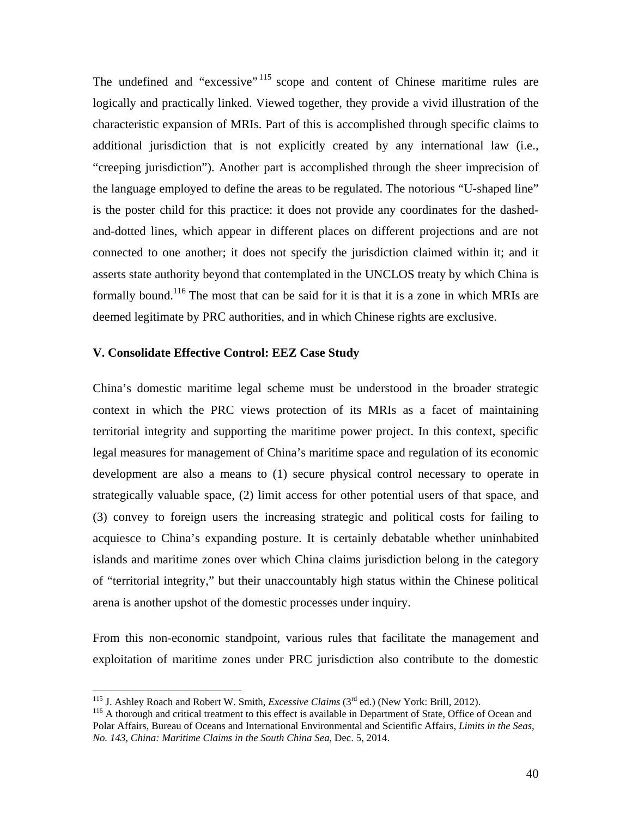The undefined and "excessive" <sup>115</sup> scope and content of Chinese maritime rules are logically and practically linked. Viewed together, they provide a vivid illustration of the characteristic expansion of MRIs. Part of this is accomplished through specific claims to additional jurisdiction that is not explicitly created by any international law (i.e., "creeping jurisdiction"). Another part is accomplished through the sheer imprecision of the language employed to define the areas to be regulated. The notorious "U-shaped line" is the poster child for this practice: it does not provide any coordinates for the dashedand-dotted lines, which appear in different places on different projections and are not connected to one another; it does not specify the jurisdiction claimed within it; and it asserts state authority beyond that contemplated in the UNCLOS treaty by which China is formally bound.116 The most that can be said for it is that it is a zone in which MRIs are deemed legitimate by PRC authorities, and in which Chinese rights are exclusive.

## **V. Consolidate Effective Control: EEZ Case Study**

China's domestic maritime legal scheme must be understood in the broader strategic context in which the PRC views protection of its MRIs as a facet of maintaining territorial integrity and supporting the maritime power project. In this context, specific legal measures for management of China's maritime space and regulation of its economic development are also a means to (1) secure physical control necessary to operate in strategically valuable space, (2) limit access for other potential users of that space, and (3) convey to foreign users the increasing strategic and political costs for failing to acquiesce to China's expanding posture. It is certainly debatable whether uninhabited islands and maritime zones over which China claims jurisdiction belong in the category of "territorial integrity," but their unaccountably high status within the Chinese political arena is another upshot of the domestic processes under inquiry.

From this non-economic standpoint, various rules that facilitate the management and exploitation of maritime zones under PRC jurisdiction also contribute to the domestic

<sup>&</sup>lt;sup>115</sup> J. Ashley Roach and Robert W. Smith, *Excessive Claims*  $(3<sup>rd</sup>$  ed.) (New York: Brill, 2012).

<sup>&</sup>lt;sup>116</sup> A thorough and critical treatment to this effect is available in Department of State, Office of Ocean and Polar Affairs, Bureau of Oceans and International Environmental and Scientific Affairs, *Limits in the Seas, No. 143, China: Maritime Claims in the South China Sea*, Dec. 5, 2014.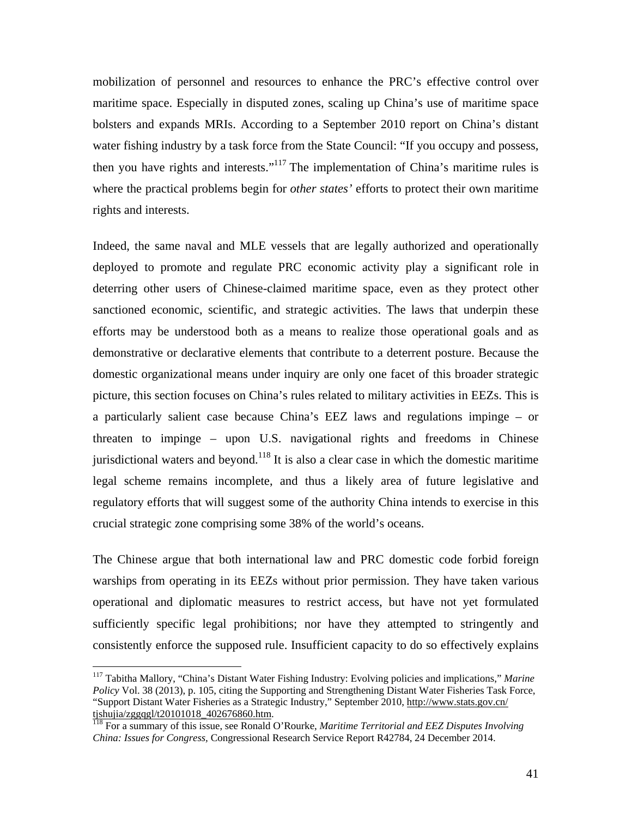mobilization of personnel and resources to enhance the PRC's effective control over maritime space. Especially in disputed zones, scaling up China's use of maritime space bolsters and expands MRIs. According to a September 2010 report on China's distant water fishing industry by a task force from the State Council: "If you occupy and possess, then you have rights and interests."<sup>117</sup> The implementation of China's maritime rules is where the practical problems begin for *other states'* efforts to protect their own maritime rights and interests.

Indeed, the same naval and MLE vessels that are legally authorized and operationally deployed to promote and regulate PRC economic activity play a significant role in deterring other users of Chinese-claimed maritime space, even as they protect other sanctioned economic, scientific, and strategic activities. The laws that underpin these efforts may be understood both as a means to realize those operational goals and as demonstrative or declarative elements that contribute to a deterrent posture. Because the domestic organizational means under inquiry are only one facet of this broader strategic picture, this section focuses on China's rules related to military activities in EEZs. This is a particularly salient case because China's EEZ laws and regulations impinge – or threaten to impinge – upon U.S. navigational rights and freedoms in Chinese jurisdictional waters and beyond.<sup>118</sup> It is also a clear case in which the domestic maritime legal scheme remains incomplete, and thus a likely area of future legislative and regulatory efforts that will suggest some of the authority China intends to exercise in this crucial strategic zone comprising some 38% of the world's oceans.

The Chinese argue that both international law and PRC domestic code forbid foreign warships from operating in its EEZs without prior permission. They have taken various operational and diplomatic measures to restrict access, but have not yet formulated sufficiently specific legal prohibitions; nor have they attempted to stringently and consistently enforce the supposed rule. Insufficient capacity to do so effectively explains

<sup>117</sup> Tabitha Mallory, "China's Distant Water Fishing Industry: Evolving policies and implications," *Marine Policy* Vol. 38 (2013), p. 105, citing the Supporting and Strengthening Distant Water Fisheries Task Force, "Support Distant Water Fisheries as a Strategic Industry," September 2010, http://www.stats.gov.cn/ tjshujia/zggqgl/t20101018\_402676860.htm.

<sup>118</sup> For a summary of this issue, see Ronald O'Rourke, *Maritime Territorial and EEZ Disputes Involving China: Issues for Congress,* Congressional Research Service Report R42784, 24 December 2014.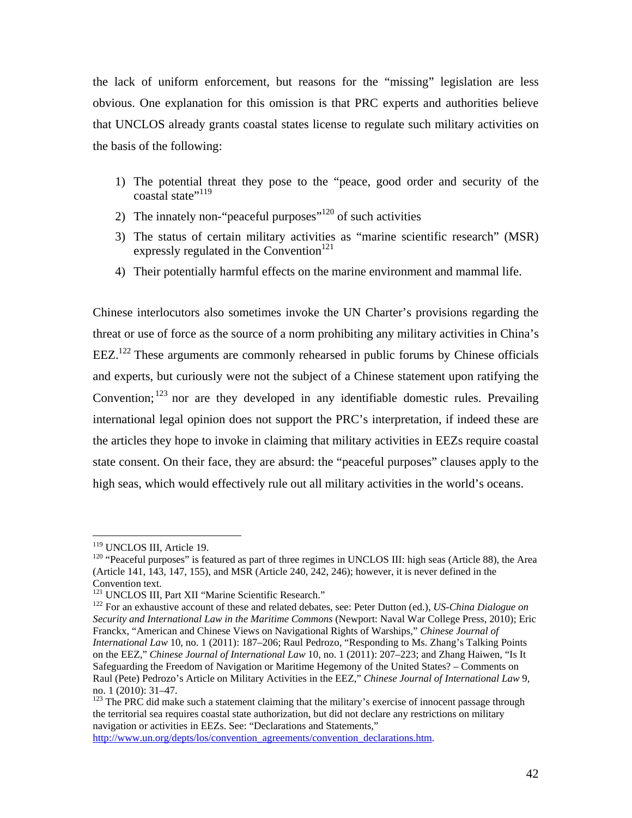the lack of uniform enforcement, but reasons for the "missing" legislation are less obvious. One explanation for this omission is that PRC experts and authorities believe that UNCLOS already grants coastal states license to regulate such military activities on the basis of the following:

- 1) The potential threat they pose to the "peace, good order and security of the coastal state"<sup>119</sup>
- 2) The innately non-"peaceful purposes" $120$  of such activities
- 3) The status of certain military activities as "marine scientific research" (MSR) expressly regulated in the Convention<sup>121</sup>
- 4) Their potentially harmful effects on the marine environment and mammal life.

Chinese interlocutors also sometimes invoke the UN Charter's provisions regarding the threat or use of force as the source of a norm prohibiting any military activities in China's  $EEZ<sup>122</sup>$  These arguments are commonly rehearsed in public forums by Chinese officials and experts, but curiously were not the subject of a Chinese statement upon ratifying the Convention; 123 nor are they developed in any identifiable domestic rules. Prevailing international legal opinion does not support the PRC's interpretation, if indeed these are the articles they hope to invoke in claiming that military activities in EEZs require coastal state consent. On their face, they are absurd: the "peaceful purposes" clauses apply to the high seas, which would effectively rule out all military activities in the world's oceans.

http://www.un.org/depts/los/convention\_agreements/convention\_declarations.htm.

<sup>&</sup>lt;sup>119</sup> UNCLOS III, Article 19.

 $120$  "Peaceful purposes" is featured as part of three regimes in UNCLOS III: high seas (Article 88), the Area (Article 141, 143, 147, 155), and MSR (Article 240, 242, 246); however, it is never defined in the

Convention text.<br><sup>121</sup> UNCLOS III, Part XII "Marine Scientific Research."

<sup>&</sup>lt;sup>122</sup> For an exhaustive account of these and related debates, see: Peter Dutton (ed.), *US-China Dialogue on Security and International Law in the Maritime Commons* (Newport: Naval War College Press, 2010); Eric Franckx, "American and Chinese Views on Navigational Rights of Warships," *Chinese Journal of International Law* 10, no. 1 (2011): 187–206; Raul Pedrozo, "Responding to Ms. Zhang's Talking Points on the EEZ," *Chinese Journal of International Law* 10, no. 1 (2011): 207–223; and Zhang Haiwen, "Is It Safeguarding the Freedom of Navigation or Maritime Hegemony of the United States? – Comments on Raul (Pete) Pedrozo's Article on Military Activities in the EEZ," *Chinese Journal of International Law* 9, no. 1 (2010): 31–47.

 $123$  The PRC did make such a statement claiming that the military's exercise of innocent passage through the territorial sea requires coastal state authorization, but did not declare any restrictions on military navigation or activities in EEZs. See: "Declarations and Statements,"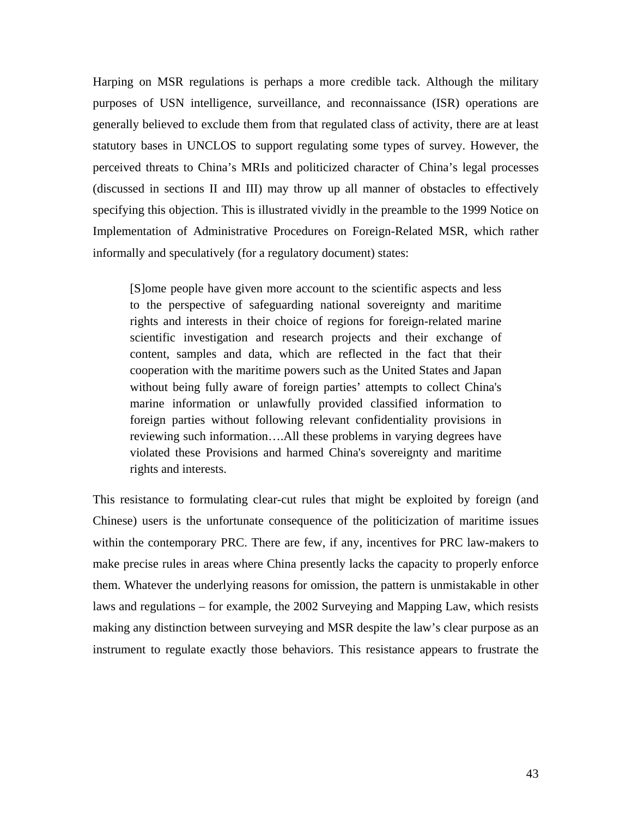Harping on MSR regulations is perhaps a more credible tack. Although the military purposes of USN intelligence, surveillance, and reconnaissance (ISR) operations are generally believed to exclude them from that regulated class of activity, there are at least statutory bases in UNCLOS to support regulating some types of survey. However, the perceived threats to China's MRIs and politicized character of China's legal processes (discussed in sections II and III) may throw up all manner of obstacles to effectively specifying this objection. This is illustrated vividly in the preamble to the 1999 Notice on Implementation of Administrative Procedures on Foreign-Related MSR, which rather informally and speculatively (for a regulatory document) states:

[S]ome people have given more account to the scientific aspects and less to the perspective of safeguarding national sovereignty and maritime rights and interests in their choice of regions for foreign-related marine scientific investigation and research projects and their exchange of content, samples and data, which are reflected in the fact that their cooperation with the maritime powers such as the United States and Japan without being fully aware of foreign parties' attempts to collect China's marine information or unlawfully provided classified information to foreign parties without following relevant confidentiality provisions in reviewing such information….All these problems in varying degrees have violated these Provisions and harmed China's sovereignty and maritime rights and interests.

This resistance to formulating clear-cut rules that might be exploited by foreign (and Chinese) users is the unfortunate consequence of the politicization of maritime issues within the contemporary PRC. There are few, if any, incentives for PRC law-makers to make precise rules in areas where China presently lacks the capacity to properly enforce them. Whatever the underlying reasons for omission, the pattern is unmistakable in other laws and regulations – for example, the 2002 Surveying and Mapping Law, which resists making any distinction between surveying and MSR despite the law's clear purpose as an instrument to regulate exactly those behaviors. This resistance appears to frustrate the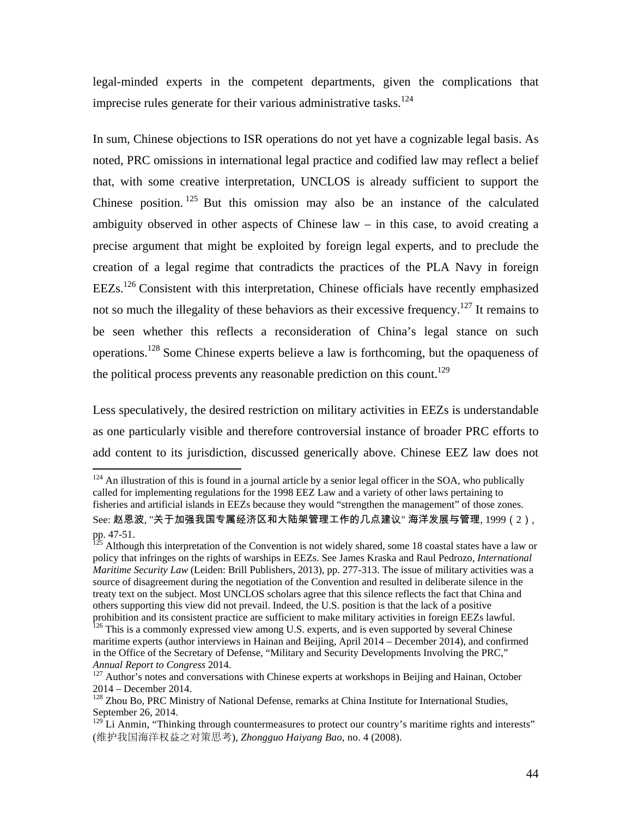legal-minded experts in the competent departments, given the complications that imprecise rules generate for their various administrative tasks.<sup>124</sup>

In sum, Chinese objections to ISR operations do not yet have a cognizable legal basis. As noted, PRC omissions in international legal practice and codified law may reflect a belief that, with some creative interpretation, UNCLOS is already sufficient to support the Chinese position.  $125$  But this omission may also be an instance of the calculated ambiguity observed in other aspects of Chinese law – in this case, to avoid creating a precise argument that might be exploited by foreign legal experts, and to preclude the creation of a legal regime that contradicts the practices of the PLA Navy in foreign EEZs.126 Consistent with this interpretation, Chinese officials have recently emphasized not so much the illegality of these behaviors as their excessive frequency.<sup>127</sup> It remains to be seen whether this reflects a reconsideration of China's legal stance on such operations.128 Some Chinese experts believe a law is forthcoming, but the opaqueness of the political process prevents any reasonable prediction on this count.<sup>129</sup>

Less speculatively, the desired restriction on military activities in EEZs is understandable as one particularly visible and therefore controversial instance of broader PRC efforts to add content to its jurisdiction, discussed generically above. Chinese EEZ law does not

 $124$  An illustration of this is found in a journal article by a senior legal officer in the SOA, who publically called for implementing regulations for the 1998 EEZ Law and a variety of other laws pertaining to fisheries and artificial islands in EEZs because they would "strengthen the management" of those zones. See: 赵恩波, "关于加强我国专属经济区和大陆架管理工作的几点建议" 海洋发展与管理, 1999(2), pp. 47-51.

 $^{25}$  Although this interpretation of the Convention is not widely shared, some 18 coastal states have a law or policy that infringes on the rights of warships in EEZs. See James Kraska and Raul Pedrozo, *International Maritime Security Law* (Leiden: Brill Publishers, 2013), pp. 277-313. The issue of military activities was a source of disagreement during the negotiation of the Convention and resulted in deliberate silence in the treaty text on the subject. Most UNCLOS scholars agree that this silence reflects the fact that China and others supporting this view did not prevail. Indeed, the U.S. position is that the lack of a positive

prohibition and its consistent practice are sufficient to make military activities in foreign EEZs lawful. <sup>126</sup> This is a commonly expressed view among U.S. experts, and is even supported by several Chinese maritime experts (author interviews in Hainan and Beijing, April 2014 – December 2014), and confirmed in the Office of the Secretary of Defense, "Military and Security Developments Involving the PRC,"

*Annual Report to Congress* 2014. 127 Author's notes and conversations with Chinese experts at workshops in Beijing and Hainan, October 2014 – December 2014.

<sup>&</sup>lt;sup>128</sup> Zhou Bo, PRC Ministry of National Defense, remarks at China Institute for International Studies, September 26, 2014.

 $129$  Li Anmin, "Thinking through countermeasures to protect our country's maritime rights and interests" (维护我国海洋权益之对策思考), *Zhongguo Haiyang Bao,* no. 4 (2008).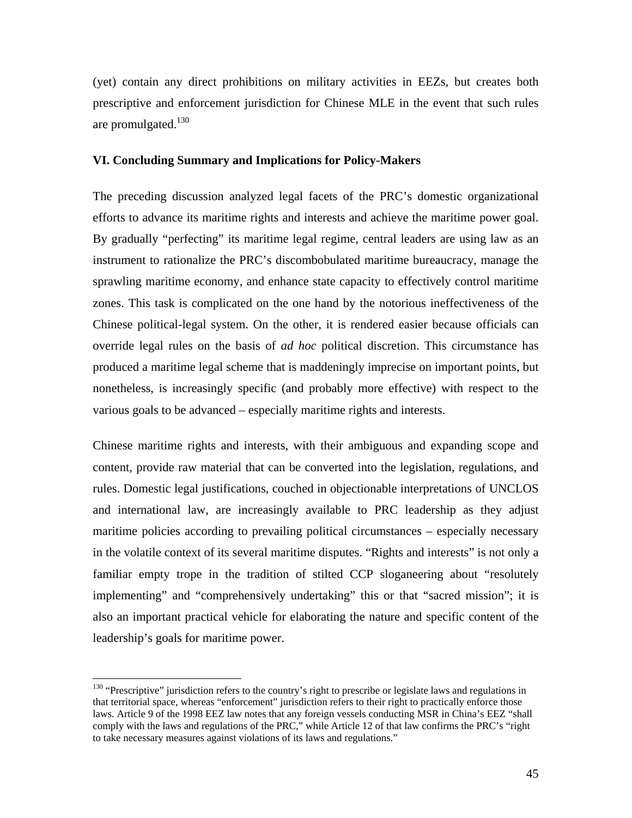(yet) contain any direct prohibitions on military activities in EEZs, but creates both prescriptive and enforcement jurisdiction for Chinese MLE in the event that such rules are promulgated. $130$ 

#### **VI. Concluding Summary and Implications for Policy-Makers**

The preceding discussion analyzed legal facets of the PRC's domestic organizational efforts to advance its maritime rights and interests and achieve the maritime power goal. By gradually "perfecting" its maritime legal regime, central leaders are using law as an instrument to rationalize the PRC's discombobulated maritime bureaucracy, manage the sprawling maritime economy, and enhance state capacity to effectively control maritime zones. This task is complicated on the one hand by the notorious ineffectiveness of the Chinese political-legal system. On the other, it is rendered easier because officials can override legal rules on the basis of *ad hoc* political discretion. This circumstance has produced a maritime legal scheme that is maddeningly imprecise on important points, but nonetheless, is increasingly specific (and probably more effective) with respect to the various goals to be advanced – especially maritime rights and interests.

Chinese maritime rights and interests, with their ambiguous and expanding scope and content, provide raw material that can be converted into the legislation, regulations, and rules. Domestic legal justifications, couched in objectionable interpretations of UNCLOS and international law, are increasingly available to PRC leadership as they adjust maritime policies according to prevailing political circumstances – especially necessary in the volatile context of its several maritime disputes. "Rights and interests" is not only a familiar empty trope in the tradition of stilted CCP sloganeering about "resolutely implementing" and "comprehensively undertaking" this or that "sacred mission"; it is also an important practical vehicle for elaborating the nature and specific content of the leadership's goals for maritime power.

<sup>&</sup>lt;sup>130</sup> "Prescriptive" jurisdiction refers to the country's right to prescribe or legislate laws and regulations in that territorial space, whereas "enforcement" jurisdiction refers to their right to practically enforce those laws. Article 9 of the 1998 EEZ law notes that any foreign vessels conducting MSR in China's EEZ "shall comply with the laws and regulations of the PRC," while Article 12 of that law confirms the PRC's "right to take necessary measures against violations of its laws and regulations."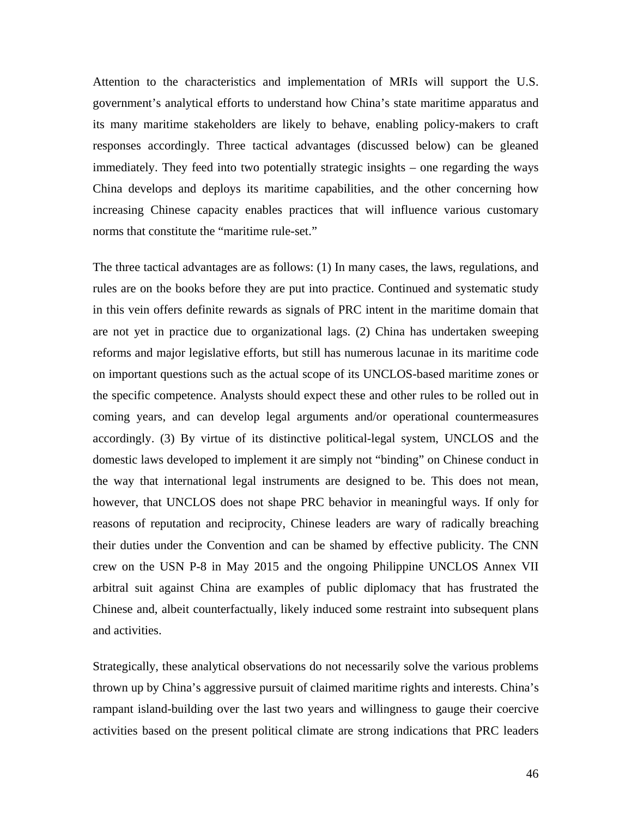Attention to the characteristics and implementation of MRIs will support the U.S. government's analytical efforts to understand how China's state maritime apparatus and its many maritime stakeholders are likely to behave, enabling policy-makers to craft responses accordingly. Three tactical advantages (discussed below) can be gleaned immediately. They feed into two potentially strategic insights – one regarding the ways China develops and deploys its maritime capabilities, and the other concerning how increasing Chinese capacity enables practices that will influence various customary norms that constitute the "maritime rule-set."

The three tactical advantages are as follows: (1) In many cases, the laws, regulations, and rules are on the books before they are put into practice. Continued and systematic study in this vein offers definite rewards as signals of PRC intent in the maritime domain that are not yet in practice due to organizational lags. (2) China has undertaken sweeping reforms and major legislative efforts, but still has numerous lacunae in its maritime code on important questions such as the actual scope of its UNCLOS-based maritime zones or the specific competence. Analysts should expect these and other rules to be rolled out in coming years, and can develop legal arguments and/or operational countermeasures accordingly. (3) By virtue of its distinctive political-legal system, UNCLOS and the domestic laws developed to implement it are simply not "binding" on Chinese conduct in the way that international legal instruments are designed to be. This does not mean, however, that UNCLOS does not shape PRC behavior in meaningful ways. If only for reasons of reputation and reciprocity, Chinese leaders are wary of radically breaching their duties under the Convention and can be shamed by effective publicity. The CNN crew on the USN P-8 in May 2015 and the ongoing Philippine UNCLOS Annex VII arbitral suit against China are examples of public diplomacy that has frustrated the Chinese and, albeit counterfactually, likely induced some restraint into subsequent plans and activities.

Strategically, these analytical observations do not necessarily solve the various problems thrown up by China's aggressive pursuit of claimed maritime rights and interests. China's rampant island-building over the last two years and willingness to gauge their coercive activities based on the present political climate are strong indications that PRC leaders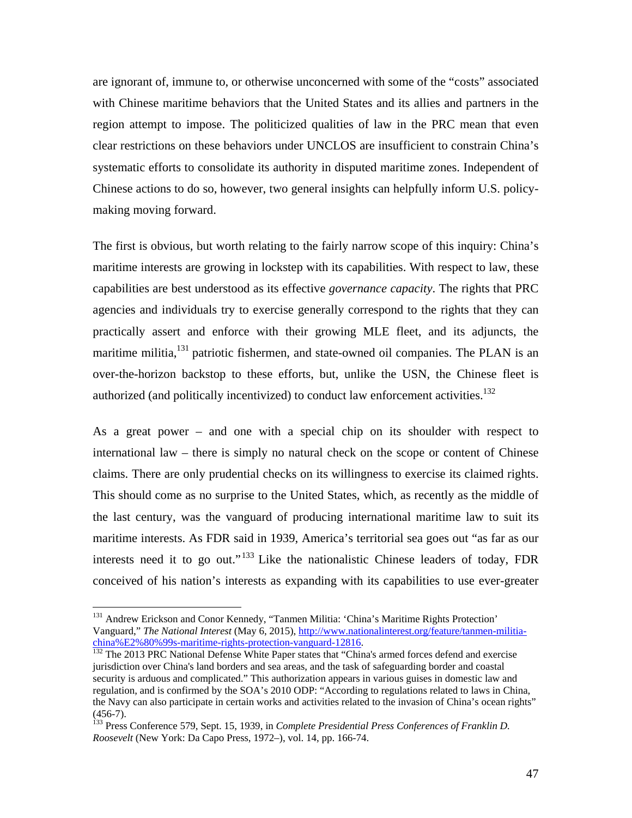are ignorant of, immune to, or otherwise unconcerned with some of the "costs" associated with Chinese maritime behaviors that the United States and its allies and partners in the region attempt to impose. The politicized qualities of law in the PRC mean that even clear restrictions on these behaviors under UNCLOS are insufficient to constrain China's systematic efforts to consolidate its authority in disputed maritime zones. Independent of Chinese actions to do so, however, two general insights can helpfully inform U.S. policymaking moving forward.

The first is obvious, but worth relating to the fairly narrow scope of this inquiry: China's maritime interests are growing in lockstep with its capabilities. With respect to law, these capabilities are best understood as its effective *governance capacity*. The rights that PRC agencies and individuals try to exercise generally correspond to the rights that they can practically assert and enforce with their growing MLE fleet, and its adjuncts, the maritime militia, $^{131}$  patriotic fishermen, and state-owned oil companies. The PLAN is an over-the-horizon backstop to these efforts, but, unlike the USN, the Chinese fleet is authorized (and politically incentivized) to conduct law enforcement activities.<sup>132</sup>

As a great power – and one with a special chip on its shoulder with respect to international law – there is simply no natural check on the scope or content of Chinese claims. There are only prudential checks on its willingness to exercise its claimed rights. This should come as no surprise to the United States, which, as recently as the middle of the last century, was the vanguard of producing international maritime law to suit its maritime interests. As FDR said in 1939, America's territorial sea goes out "as far as our interests need it to go out."<sup>133</sup> Like the nationalistic Chinese leaders of today, FDR conceived of his nation's interests as expanding with its capabilities to use ever-greater

1

<sup>&</sup>lt;sup>131</sup> Andrew Erickson and Conor Kennedy, "Tanmen Militia: 'China's Maritime Rights Protection' Vanguard," *The National Interest* (May 6, 2015), http://www.nationalinterest.org/feature/tanmen-militia-<br>china%E2%80%99s-maritime-rights-protection-vanguard-12816.

<sup>&</sup>lt;sup>132</sup> The 2013 PRC National Defense White Paper states that "China's armed forces defend and exercise jurisdiction over China's land borders and sea areas, and the task of safeguarding border and coastal security is arduous and complicated." This authorization appears in various guises in domestic law and regulation, and is confirmed by the SOA's 2010 ODP: "According to regulations related to laws in China, the Navy can also participate in certain works and activities related to the invasion of China's ocean rights"  $(456-7)$ .

<sup>&</sup>lt;sup>133</sup> Press Conference 579, Sept. 15, 1939, in *Complete Presidential Press Conferences of Franklin D. Roosevelt* (New York: Da Capo Press, 1972–), vol. 14, pp. 166-74.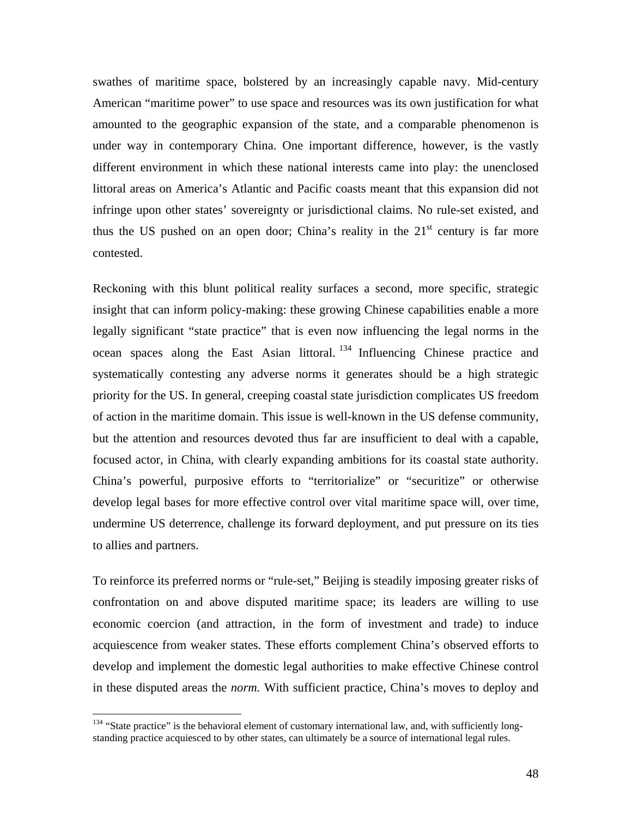swathes of maritime space, bolstered by an increasingly capable navy. Mid-century American "maritime power" to use space and resources was its own justification for what amounted to the geographic expansion of the state, and a comparable phenomenon is under way in contemporary China. One important difference, however, is the vastly different environment in which these national interests came into play: the unenclosed littoral areas on America's Atlantic and Pacific coasts meant that this expansion did not infringe upon other states' sovereignty or jurisdictional claims. No rule-set existed, and thus the US pushed on an open door; China's reality in the  $21<sup>st</sup>$  century is far more contested.

Reckoning with this blunt political reality surfaces a second, more specific, strategic insight that can inform policy-making: these growing Chinese capabilities enable a more legally significant "state practice" that is even now influencing the legal norms in the ocean spaces along the East Asian littoral.  $134$  Influencing Chinese practice and systematically contesting any adverse norms it generates should be a high strategic priority for the US. In general, creeping coastal state jurisdiction complicates US freedom of action in the maritime domain. This issue is well-known in the US defense community, but the attention and resources devoted thus far are insufficient to deal with a capable, focused actor, in China, with clearly expanding ambitions for its coastal state authority. China's powerful, purposive efforts to "territorialize" or "securitize" or otherwise develop legal bases for more effective control over vital maritime space will, over time, undermine US deterrence, challenge its forward deployment, and put pressure on its ties to allies and partners.

To reinforce its preferred norms or "rule-set," Beijing is steadily imposing greater risks of confrontation on and above disputed maritime space; its leaders are willing to use economic coercion (and attraction, in the form of investment and trade) to induce acquiescence from weaker states. These efforts complement China's observed efforts to develop and implement the domestic legal authorities to make effective Chinese control in these disputed areas the *norm.* With sufficient practice, China's moves to deploy and

<sup>&</sup>lt;sup>134</sup> "State practice" is the behavioral element of customary international law, and, with sufficiently longstanding practice acquiesced to by other states, can ultimately be a source of international legal rules.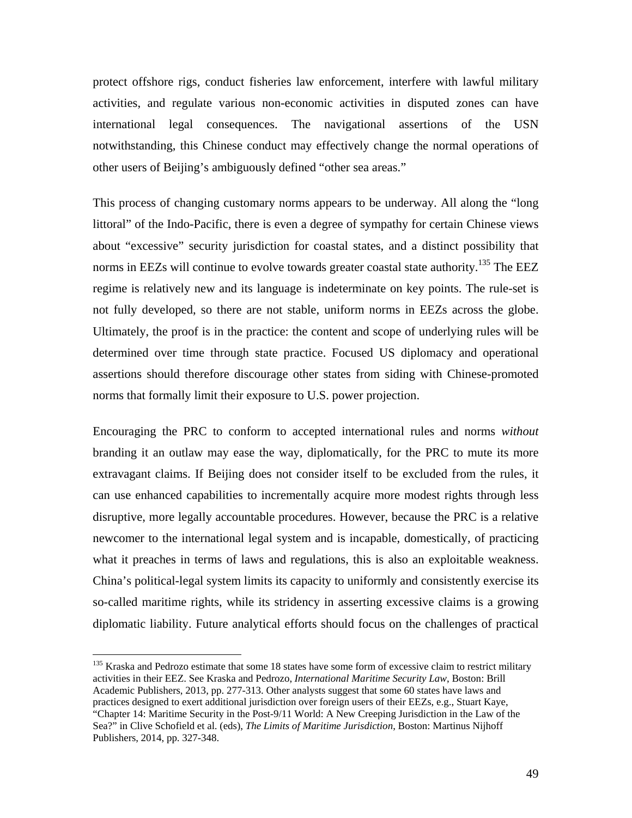protect offshore rigs, conduct fisheries law enforcement, interfere with lawful military activities, and regulate various non-economic activities in disputed zones can have international legal consequences. The navigational assertions of the USN notwithstanding, this Chinese conduct may effectively change the normal operations of other users of Beijing's ambiguously defined "other sea areas."

This process of changing customary norms appears to be underway. All along the "long littoral" of the Indo-Pacific, there is even a degree of sympathy for certain Chinese views about "excessive" security jurisdiction for coastal states, and a distinct possibility that norms in EEZs will continue to evolve towards greater coastal state authority.<sup>135</sup> The EEZ regime is relatively new and its language is indeterminate on key points. The rule-set is not fully developed, so there are not stable, uniform norms in EEZs across the globe. Ultimately, the proof is in the practice: the content and scope of underlying rules will be determined over time through state practice. Focused US diplomacy and operational assertions should therefore discourage other states from siding with Chinese-promoted norms that formally limit their exposure to U.S. power projection.

Encouraging the PRC to conform to accepted international rules and norms *without* branding it an outlaw may ease the way, diplomatically, for the PRC to mute its more extravagant claims. If Beijing does not consider itself to be excluded from the rules, it can use enhanced capabilities to incrementally acquire more modest rights through less disruptive, more legally accountable procedures. However, because the PRC is a relative newcomer to the international legal system and is incapable, domestically, of practicing what it preaches in terms of laws and regulations, this is also an exploitable weakness. China's political-legal system limits its capacity to uniformly and consistently exercise its so-called maritime rights, while its stridency in asserting excessive claims is a growing diplomatic liability. Future analytical efforts should focus on the challenges of practical

<sup>&</sup>lt;sup>135</sup> Kraska and Pedrozo estimate that some 18 states have some form of excessive claim to restrict military activities in their EEZ. See Kraska and Pedrozo, *International Maritime Security Law*, Boston: Brill Academic Publishers, 2013, pp. 277-313. Other analysts suggest that some 60 states have laws and practices designed to exert additional jurisdiction over foreign users of their EEZs, e.g., Stuart Kaye, "Chapter 14: Maritime Security in the Post-9/11 World: A New Creeping Jurisdiction in the Law of the Sea?" in Clive Schofield et al. (eds), *The Limits of Maritime Jurisdiction*, Boston: Martinus Nijhoff Publishers, 2014, pp. 327-348.